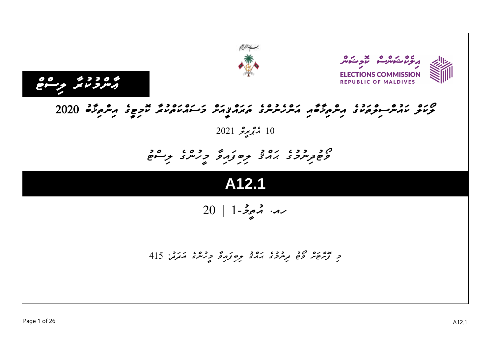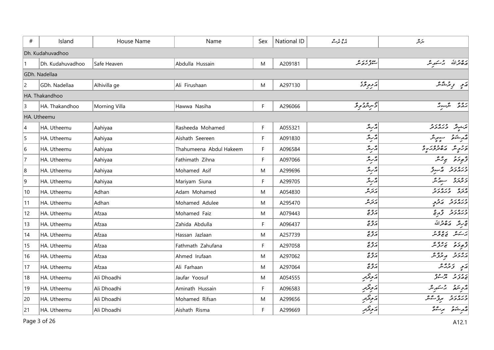| #                        | Island           | House Name    | Name                    | Sex       | National ID | ړه پر ه                      | ىئرىتر                                                                   |  |  |  |  |
|--------------------------|------------------|---------------|-------------------------|-----------|-------------|------------------------------|--------------------------------------------------------------------------|--|--|--|--|
|                          | Dh. Kudahuvadhoo |               |                         |           |             |                              |                                                                          |  |  |  |  |
|                          | Dh. Kudahuvadhoo | Safe Heaven   | Abdulla Hussain         | M         | A209181     | ی ه ه ی مر ه<br>سونو مره میں | رە قەللە جەسكەر مىك                                                      |  |  |  |  |
|                          | GDh. Nadellaa    |               |                         |           |             |                              |                                                                          |  |  |  |  |
|                          | GDh. Nadellaa    | Alhivilla ge  | Ali Firushaan           | M         | A297130     | ړیو وگړي<br>                 | ړې ویرشهر                                                                |  |  |  |  |
|                          | HA. Thakandhoo   |               |                         |           |             |                              |                                                                          |  |  |  |  |
| 3                        | HA. Thakandhoo   | Morning Villa | Hawwa Nasiha            | F         | A296066     | ئۇسرىئىدىمۇ ئە               | برە ئەسترىبەرگ                                                           |  |  |  |  |
|                          | HA. Utheemu      |               |                         |           |             |                              |                                                                          |  |  |  |  |
| $\vert 4$                | HA. Utheemu      | Aahiyaa       | Rasheeda Mohamed        | F         | A055321     | أوسبر يتمر                   | برشوش ورورور<br>برشوش ورورونر<br>پر شوش سورس<br>بر دیگر بر در در در در د |  |  |  |  |
| $\overline{\phantom{a}}$ | HA. Utheemu      | Aahiyaa       | Aishath Seereen         | F         | A091830     | ومريز                        |                                                                          |  |  |  |  |
| 6                        | HA. Utheemu      | Aahiyaa       | Thahumeena Abdul Hakeem | F         | A096584     | أوسبر                        |                                                                          |  |  |  |  |
| $\overline{7}$           | HA. Utheemu      | Aahiyaa       | Fathimath Zihna         | F         | A097066     | أوبريته                      | ۇ بوخۇ بېرىگە                                                            |  |  |  |  |
| 8                        | HA. Utheemu      | Aahiyaa       | Mohamed Asif            | M         | A299696     | أوبريز                       | ورەرو ۋىبو                                                               |  |  |  |  |
| 9                        | HA. Utheemu      | Aahiyaa       | Mariyam Siuna           | F         | A299705     | پر بر پژ                     | גם גם פית                                                                |  |  |  |  |
| $10$                     | HA. Utheemu      | Adhan         | Adam Mohamed            | M         | A054830     | ەر ھ                         | برره وره رو<br>منرچ وبرمرچنر                                             |  |  |  |  |
| 11                       | HA. Utheemu      | Adhan         | Mohamed Adulee          | M         | A295470     | ەر ھ                         | ورەرو روپە                                                               |  |  |  |  |
| 12                       | HA. Utheemu      | Afzaa         | Mohamed Faiz            | M         | A079443     | پره پچ                       | ورەرد ئەرى                                                               |  |  |  |  |
| 13                       | HA. Utheemu      | Afzaa         | Zahida Abdulla          | F         | A096437     | پر و پچ                      | تج برقد صكاة والله                                                       |  |  |  |  |
| 14                       | HA. Utheemu      | Afzaa         | Hassan Jazlaan          | M         | A257739     | برەپچ                        | ىز سەش يىم قىر                                                           |  |  |  |  |
| 15                       | HA. Utheemu      | Afzaa         | Fathmath Zahufana       | F         | A297058     | پرویج                        | ۋە ئەر ئەر ئىگە                                                          |  |  |  |  |
| 16                       | HA. Utheemu      | Afzaa         | Ahmed Irufaan           | M         | A297062     | لروبح                        | رەرد مەدور                                                               |  |  |  |  |
| 17                       | HA. Utheemu      | Afzaa         | Ali Farhaan             | M         | A297064     | رەپچ                         | مَوِ وَيَرْشَ                                                            |  |  |  |  |
| 18                       | HA. Utheemu      | Ali Dhoadhi   | Jaufar Yoosuf           | M         | A054555     | پروژمر                       | ر ور و در وه<br>ق <i>ړه تو تر</i> سوتو                                   |  |  |  |  |
| 19                       | HA. Utheemu      | Ali Dhoadhi   | Aminath Hussain         | F         | A096583     | ر<br>پروترمر                 | مەر ئىكى بەسكىرىش                                                        |  |  |  |  |
| 20                       | HA. Utheemu      | Ali Dhoadhi   | Mohamed Rifsan          | ${\sf M}$ | A299656     | بروثرمر                      | ورەرو بروگ                                                               |  |  |  |  |
| 21                       | HA. Utheemu      | Ali Dhoadhi   | Aishath Risma           | F         | A299669     | بروثرمر                      | ومرشكم مرسوخ                                                             |  |  |  |  |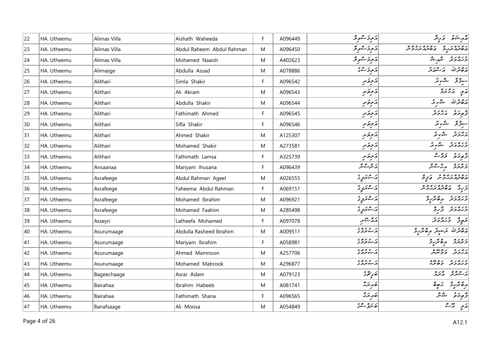| 22 | HA. Utheemu | Alimas Villa | Aishath Waheeda           | F         | A096449 | رَمِرِ حَسَنَ مِنْ قَرْ        | و د شوه کاروگر                                        |
|----|-------------|--------------|---------------------------|-----------|---------|--------------------------------|-------------------------------------------------------|
| 23 | HA. Utheemu | Alimas Villa | Abdul Raheem Abdul Rahman | M         | A096450 | رَمِرةَ سْفَوِيَّة             | ره وه در ه در ره دره ده<br>ده مرد بر در ده مرد بربروس |
| 24 | HA. Utheemu | Alimas Villa | Mohamed Naaish            | M         | A402623 | رَمزِ حَسَنَ عَمَرِ حَرْ       | ورەرو شرىئە                                           |
| 25 | HA. Utheemu | Alimasge     | Abdulla Assad             | M         | A078886 | لأعرفر صمخه                    | رەقراللە مەمەم                                        |
| 26 | HA. Utheemu | Alithari     | Simla Shakir              | F         | A096542 | لأحرة مر                       | $\frac{2}{3}$                                         |
| 27 | HA. Utheemu | Alithari     | Ali Akram                 | M         | A096543 | وكمعرض مبر                     | أقه قراره                                             |
| 28 | HA. Utheemu | Alithari     | Abdulla Shakir            | ${\sf M}$ | A096544 | لأحرهوسر                       | أرة قرالله كمع تر                                     |
| 29 | HA. Utheemu | Alithari     | Fathimath Ahmed           | F         | A096545 | تزوځ مر                        | و دو ده دو                                            |
| 30 | HA. Utheemu | Alithari     | Sifla Shakir              | F         | A096546 | لأحرهوسر                       | سوژى شەرىر                                            |
| 31 | HA. Utheemu | Alithari     | Ahmed Shakir              | ${\sf M}$ | A125307 | وكمعرضة                        | رەرو ئەرو                                             |
| 32 | HA. Utheemu | Alithari     | Mohamed Shakir            | M         | A273581 | لأحرهوسر                       | ورەرو شەر                                             |
| 33 | HA. Utheemu | Alithari     | Fathimath Lamsa           | F         | A325739 | وكمعرضو                        | أزًوجوه بمروث                                         |
| 34 | HA. Utheemu | Ansaanaa     | Mariyam Ihusana           | F         | A096439 | ىر بىر بەشەر                   | دەرە مەشقىر                                           |
| 35 | HA. Utheemu | Asrafeege    | Abdul Rahman Ageel        | ${\sf M}$ | A026555 | ئەسىھ ئىمرىي تى                |                                                       |
| 36 | HA. Utheemu | Asrafeege    | Faheema Abdul Rahman      | F         | A069151 | پر ۱۵ پرې <sup>چ</sup>         | كرية رە دە رە دە                                      |
| 37 | HA. Utheemu | Asrafeege    | Mohamed Ibrahim           | ${\sf M}$ | A096921 | ئەسىمىسى ئى                    | כמתכת תפתיכ                                           |
| 38 | HA. Utheemu | Asrafeege    | Mohamed Faahim            | ${\sf M}$ | A285498 | ىر ھەترى <sub>رى</sub>         | دره رو و محرره                                        |
| 39 | HA. Utheemu | Asseyri      | Latheefa Mohamed          | F         | A097078 | لئەرىئىمر                      | كريمو ورەرد                                           |
| 40 | HA. Utheemu | Asurumaage   | Abdulla Rasheed Ibrahim   | M         | A009511 | ر و و د »<br>پرسوترو د         | رە داللە ئېرىسوتر مەھەرد                              |
| 41 | HA. Utheemu | Asurumaage   | Mariyam Ibrahim           | F         | A058981 | ر و و »<br>پرسوپرو د           | במתכ תפתיכ                                            |
| 42 | HA. Utheemu | Asurumaage   | Ahmed Mamnoon             | ${\sf M}$ | A257706 | ر و و » ،<br>پرسوپرو د         | ره رو دره دور<br>مهرونر ووس                           |
| 43 | HA. Utheemu | Asurumaage   | Mohamed Mabrook           | M         | A296877 | ر د د د ،<br>پر سومرو د        | 0.7501<br>و ره ر و<br>تر پر ژ تر                      |
| 44 | HA. Utheemu | Bageechaage  | Asrar Adam                | ${\sf M}$ | A079123 | ر<br>صی گوی                    | د عدمو به ده د                                        |
| 45 | HA. Utheemu | Bairahaa     | Ibrahim Habeeb            | ${\sf M}$ | A081741 | ئەرىز <sup>ى</sup> ر<br>م      |                                                       |
| 46 | HA. Utheemu | Bairahaa     | Fathimath Shana           | F         | A096565 | لحامر بمربح                    | ومجموحهم<br>ىش <sup>ە</sup> ئىر                       |
| 47 | HA. Utheemu | Banafsaage   | Ali Moosa                 | ${\sf M}$ | A054849 | پر په ور وي<br>ح <i>سرتي څ</i> | اړې د ح                                               |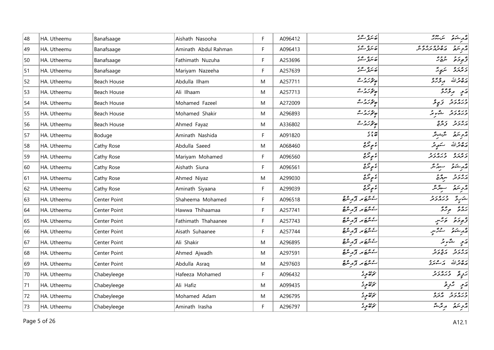| 48 | HA. Utheemu | Banafsaage         | Aishath Nasooha      | F         | A096412 | پره وي                                                              |                                                                    |
|----|-------------|--------------------|----------------------|-----------|---------|---------------------------------------------------------------------|--------------------------------------------------------------------|
| 49 | HA. Utheemu | Banafsaage         | Aminath Abdul Rahman | F         | A096413 | پر په وي.<br>ت <i>خ</i> سرگر                                        | ره وه ره د ه<br>پره تربر تر تر<br>پ <sup>ر</sup> جه سره<br>مرج سره |
| 50 | HA. Utheemu | Banafsaage         | Fathimath Nuzuha     | F         | A253696 | پره وي<br>  ځانگرنسگو                                               | و مرد د<br>سرچ گ                                                   |
| 51 | HA. Utheemu | Banafsaage         | Mariyam Nazeeha      | F         | A257639 | پره وي<br>  ځانگرنسنۍ                                               | ر ه ر ه<br><del>و</del> بربرو<br>ىئىي تە                           |
| 52 | HA. Utheemu | <b>Beach House</b> | Abdulla Ilham        | M         | A257711 | 2520                                                                | ەربەر<br>ەھىراللە                                                  |
| 53 | HA. Utheemu | <b>Beach House</b> | Ali Ilhaam           | M         | A257713 | 27/80                                                               | $5.50$ $2.0$                                                       |
| 54 | HA. Utheemu | <b>Beach House</b> | Mohamed Fazeel       | M         | A272009 | 2720                                                                | ورەرو كېچى                                                         |
| 55 | HA. Utheemu | <b>Beach House</b> | Mohamed Shakir       | ${\sf M}$ | A296893 | پەنزىر مىسىر                                                        | ورەرو شەر                                                          |
| 56 | HA. Utheemu | <b>Beach House</b> | Ahmed Fayaz          | M         | A336802 | ە ئۇ ئەمر م                                                         | ره رو روه                                                          |
| 57 | HA. Utheemu | Boduge             | Aminath Nashida      | F         | A091820 | 580                                                                 | أأترح متكم والتكرونكر                                              |
| 58 | HA. Utheemu | Cathy Rose         | Abdulla Saeed        | M         | A068460 |                                                                     | مَدْهُ مَّرَاللَّهُ سَوَمِدْ                                       |
| 59 | HA. Utheemu | Cathy Rose         | Mariyam Mohamed      | F         | A096560 |                                                                     | و ر ه ر و<br>تر پر ژ تر<br>ر ه ر ه<br><del>د</del> بربرگر          |
| 60 | HA. Utheemu | Cathy Rose         | Aishath Siuna        | F         | A096561 |                                                                     | أقرم شوكم المسترمثر                                                |
| 61 | HA. Utheemu | Cathy Rose         | Ahmed Niyaz          | M         | A299030 | لأحوجرج                                                             | גם גב תוצב                                                         |
| 62 | HA. Utheemu | Cathy Rose         | Aminath Siyaana      | F         | A299039 | $\begin{bmatrix} 0 & 0 & 0 \\ 0 & 0 & 0 \\ 0 & 0 & 0 \end{bmatrix}$ | أزمر سنرتشر                                                        |
| 63 | HA. Utheemu | Center Point       | Shaheema Mohamed     | F         | A096518 | كالمشتاع بمجمد منتقا                                                | وره رو<br>تربر پر تر<br>ىشكەنچە<br>مەسىر                           |
| 64 | HA. Utheemu | Center Point       | Hawwa Thihaamaa      | F         | A257741 | سنستقصر بزمر مثبتا                                                  |                                                                    |
| 65 | HA. Utheemu | Center Point       | Fathimath Thahaanee  | F         | A257743 | شريع بر بزر مربع                                                    | قەم ئەسىرىسى ئەركىسى                                               |
| 66 | HA. Utheemu | Center Point       | Aisath Suhaanee      | F         | A257744 | كالمرتفع برقم برمرهم                                                | سترشير<br>ۇ مەشكەتى<br>مەم                                         |
| 67 | HA. Utheemu | Center Point       | Ali Shakir           | M         | A296895 | كالمشارع بمرورهم                                                    |                                                                    |
| 68 | HA. Utheemu | Center Point       | Ahmed Ajwadh         | M         | A297591 | كالمرتفع برقم برمرهم                                                | رەرو رەرو<br>مەروىر مەھ                                            |
| 69 | HA. Utheemu | Center Point       | Abdulla Asraq        | M         | A297603 | يده مريخ مرهوم                                                      | مَدْهُ مَّدَاللَّهُ مَرْ صَعَرَ                                    |
| 70 | HA. Utheemu | Chabeyleege        | Hafeeza Mohamed      | F         | A096432 | ري په د<br>کوه پور                                                  | ر ده دره در در د                                                   |
| 71 | HA. Utheemu | Chabeyleege        | Ali Hafiz            | M         | A099435 | ری دی<br>نموه د پر                                                  | ړې پر <i>و</i>                                                     |
| 72 | HA. Utheemu | Chabeyleege        | Mohamed Adam         | M         | A296795 | ری د ؟<br>کوه د د                                                   | כנסנד בנס<br>כ <i>ג</i> וג בנג                                     |
| 73 | HA. Utheemu | Chabeyleege        | Aminath Irasha       | F         | A296797 | ري پر ء<br>کوھ پر د                                                 | أرمح سترامية المراجعة                                              |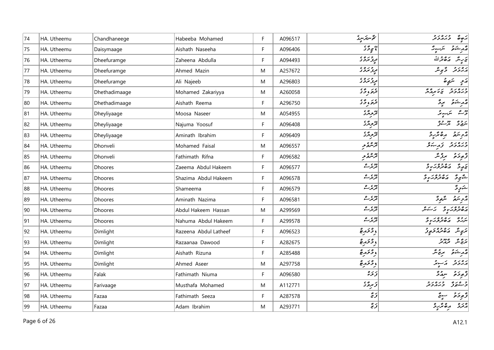| 74 | HA. Utheemu | Chandhaneege   | Habeeba Mohamed       | F         | A096517 | كۇسرىرَ سرىد                      | و ره ر و<br><i>و پر</i> پر تر<br> <br>  مەھ                              |
|----|-------------|----------------|-----------------------|-----------|---------|-----------------------------------|--------------------------------------------------------------------------|
| 75 | HA. Utheemu | Daisymaage     | Aishath Naseeha       | F         | A096406 | پر سرچ د<br>  ناسم سرچ د          | أمار مشكرة المتكربية                                                     |
| 76 | HA. Utheemu | Dheefuramge    | Zaheena Abdulla       | F         | A094493 | پروتره و <mark>و</mark>           | ىزىد كەھىراللە                                                           |
| 77 | HA. Utheemu | Dheefuramge    | Ahmed Mazin           | M         | A257672 | در ژ تر ژ ژ                       | برەرد ۇي م                                                               |
| 78 | HA. Utheemu | Dheefuramge    | Ali Najeeb            | ${\sf M}$ | A296803 | پروترو ۽<br>  پروترو <sub>ک</sub> |                                                                          |
| 79 | HA. Utheemu | Dhethadimaage  | Mohamed Zakariyya     | M         | A260058 | ړ د پر په<br>مربوع څر             | כנסגב גגם                                                                |
| 80 | HA. Utheemu | Dhethadimaage  | Aishath Reema         | F         | A296750 | ۍ د په په<br>مرچ د تر             | مەر ئىكى ئىمى ئى                                                         |
| 81 | HA. Utheemu | Dheyliyaage    | Moosa Naseer          | M         | A054955 | قرمز جری<br>  قرمز جر             | رضم الكرب مرتبه                                                          |
| 82 | HA. Utheemu | Dheyliyaage    | Najuma Yoosuf         | F         | A096408 | ئەر بەر<br>  قىزمۇرى              | ر و و<br>سرچ و<br>دد ره و                                                |
| 83 | HA. Utheemu | Dheyliyaage    | Aminath Ibrahim       | F         | A096409 | ئەر ئە ئ                          | دە ئەرچ<br>ۇ جە ئىكە                                                     |
| 84 | HA. Utheemu | Dhonveli       | Mohamed Faisal        | M         | A096557 | قريره عبر                         | ورەرو زېرىكو                                                             |
| 85 | HA. Utheemu | Dhonveli       | Fathimath Rifna       | F         | A096582 | قريرة معبر                        | ۇۋە ئەرەپ                                                                |
| 86 | HA. Utheemu | <b>Dhoores</b> | Zaeema Abdul Hakeem   | F         | A096577 | ود ۽ ه<br>تعريجه شک               |                                                                          |
| 87 | HA. Utheemu | <b>Dhoores</b> | Shazima Abdul Hakeem  | F         | A096578 | دد ،<br>تربر ک                    | 343366 346<br>343366 346<br>243366 354<br>ره وه ر<br>په <i>ه</i> نروبرېږ |
| 88 | HA. Utheemu | <b>Dhoores</b> | Shameema              | F         | A096579 | دد ،<br>تربر ک                    |                                                                          |
| 89 | HA. Utheemu | <b>Dhoores</b> | Aminath Nazima        | F         | A096581 | ود ۽ ه                            | أأرمني<br>سَّنْجُوحَ                                                     |
| 90 | HA. Utheemu | <b>Dhoores</b> | Abdul Hakeem Hassan   | ${\sf M}$ | A299569 | ود ۽ ه<br>تعريجه شک               | גם כפג' פ ג' בית                                                         |
| 91 | HA. Utheemu | Dhoores        | Nahuma Abdul Hakeem   | F         | A299578 | ود ۽ ه                            | ر وه دره وه در ه<br>سررو ده مورد ر                                       |
| 92 | HA. Utheemu | Dimlight       | Razeena Abdul Latheef | F.        | A096523 | ومحترج                            | <br>  پرېپ شه په ۱۹۵۵ کوچونو                                             |
| 93 | HA. Utheemu | Dimlight       | Razaanaa Dawood       | F         | A282675 | ود تخرم ه                         | پرېڅ شو په موجود و<br>  پرېڅ سر په موجود ور                              |
| 94 | HA. Utheemu | Dimlight       | Aishath Rizuna        | F         | A285488 | وتزرع                             | ۇرمۇق برىتىگە                                                            |
| 95 | HA. Utheemu | Dimlight       | Ahmed Aseer           | M         | A297758 | ووڅرم                             |                                                                          |
| 96 | HA. Utheemu | Falak          | Fathimath Niuma       | F         | A096580 | ۇ ئە                              | توجدة سرقمة                                                              |
| 97 | HA. Utheemu | Farivaage      | Musthafa Mohamed      | ${\sf M}$ | A112771 | ۇ بىر <i>ەڭ</i>                   | د ۱۵۷۵.<br>د سربوتو<br>و ره ر و<br><i>د ب</i> رگرفر                      |
| 98 | HA. Utheemu | Fazaa          | Fathimath Seeza       | F         | A287578 | ترتج                              | ا تو بر در<br>ا                                                          |
| 99 | HA. Utheemu | Fazaa          | Adam Ibrahim          | M         | A293771 | ترتج                              | أئرترى<br>وە ئۈرۈ                                                        |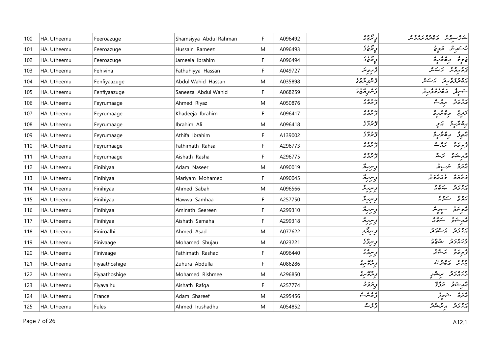| 100 | HA. Utheemu | Feeroazuge    | Shamsiyya Abdul Rahman | F           | A096492 | و چې د پر<br>او پرېځ د                 | ره وه ره ده ده ده ده.<br>شوتر در از ده تر در برتر س      |
|-----|-------------|---------------|------------------------|-------------|---------|----------------------------------------|----------------------------------------------------------|
| 101 | HA. Utheemu | Feeroazuge    | Hussain Rameez         | M           | A096493 | و ص و ۽<br>اوپه مي ي                   | يز سكور مشر الكريز في                                    |
| 102 | HA. Utheemu | Feeroazuge    | Jameela Ibrahim        | F           | A096494 | و چې د و<br>او پرېبۍ ته                | برە ئۆر ۋ<br>تے تر تخ <sub>ر</sub>                       |
| 103 | HA. Utheemu | Fehivina      | Fathuhiyya Hassan      | F           | A049727 | <br> قرىر مىتر                         | زەپەر ئەسەھ                                              |
| 104 | HA. Utheemu | Fenfiyaazuge  | Abdul Wahid Hassan     | M           | A035898 | ع عروج دي.<br> زينزپورتبن <sub>ک</sub> | رە دەپرى <sub>ر</sub> كەسەر<br>مەھىر <i>ۈرۈ</i> رىد      |
| 105 | HA. Utheemu | Fenfiyaazuge  | Saneeza Abdul Wahid    | $\mathsf F$ | A068259 | ې هروگړي<br>د شر <sub>وگ</sub> ري      |                                                          |
| 106 | HA. Utheemu | Feyrumaage    | Ahmed Riyaz            | M           | A050876 | په وي  په<br>  تو مرو  ۍ               | رەرو بروگ                                                |
| 107 | HA. Utheemu | Feyrumaage    | Khadeeja Ibrahim       | F           | A096417 | ہ بو و یہ ی<br> تو بورچ ی              | رە ئەرد<br>ترىرىتى<br>ئ                                  |
| 108 | HA. Utheemu | Feyrumaage    | Ibrahim Ali            | M           | A096418 | ہ بو و یہ ی<br> تو بورچ ی              |                                                          |
| 109 | HA. Utheemu | Feyrumaage    | Athifa Ibrahim         | $\mathsf F$ | A139002 | په چ په<br>  تومرنژۍ                   | ەجوڭر<br>ەرھەترىر <sup>ى</sup>                           |
| 110 | HA. Utheemu | Feyrumaage    | Fathimath Rahsa        | F.          | A296773 | پے ح م م م<br>  تو سرچ ی               | بره مثر<br>ۇ بو ئەر                                      |
| 111 | HA. Utheemu | Feyrumaage    | Aishath Rasha          | F           | A296775 | ہ بو و یہ ی<br> تو بورچ ی              | و د کرده کرد که<br>در سوه کرد                            |
| 112 | HA. Utheemu | Finihiyaa     | Adam Naseer            | M           | A090019 | او مدر پڑ<br>گیریں                     | وره مرسور                                                |
| 113 | HA. Utheemu | Finihiyaa     | Mariyam Mohamed        | F           | A090045 | و سربر پر<br>سربر                      | و رە ر د<br>تر پر پر تر<br>ر ه ر ه<br><del>د</del> بربرگ |
| 114 | HA. Utheemu | Finihiyaa     | Ahmed Sabah            | M           | A096566 | او سربر پژ<br><u>سبب</u>               | $22 -$<br>ەرەر ۋ                                         |
| 115 | HA. Utheemu | Finihiyaa     | Hawwa Samhaa           | F           | A257750 | اوسربردگر<br><u>سب</u>                 | سەدىر<br>ر ه پ<br>پروتو                                  |
| 116 | HA. Utheemu | Finihiyaa     | Aminath Seereen        | F           | A299310 | او سربر پژ<br><u>گرمر</u>              | لترحر يتمدح<br>سەمەيىر<br>ئە                             |
| 117 | HA. Utheemu | Finihiyaa     | Aishath Samaha         | F           | A299318 | او میں بڑ<br>سیاسیہ                    | و گهر شک <sup>و</sup><br>سترقر                           |
| 118 | HA. Utheemu | Finiroalhi    | Ahmed Asad             | M           | A077622 | وببرېږ                                 | גם גם גם גב<br>הגבה ה' לה                                |
| 119 | HA. Utheemu | Finivaage     | Mohamed Shujau         | M           | A023221 | و سرچ <sup>ي</sup>                     | و ر ه ر د<br>تر پر ژنر<br>ے جو مجمد ح                    |
| 120 | HA. Utheemu | Finivaage     | Fathimath Rashad       | $\mathsf F$ | A096440 | وسرچء                                  | أوالمحر المحتفظة المحمدة والمحمدة المتعالى               |
| 121 | HA. Utheemu | Fiyaathoshige | Zuhura Abdulla         | $\mathsf F$ | A086286 | و پژند ع<br>تر پژند برد                | تحريحه وكاله الله                                        |
| 122 | HA. Utheemu | Fiyaathoshige | Mohamed Rishmee        | M           | A296850 | و پر پر<br>تر پر پر پر                 | وره رو برخور                                             |
| 123 | HA. Utheemu | Fiyavalhu     | Aishath Rafqa          | F           | A257774 | دېره د                                 |                                                          |
| 124 | HA. Utheemu | France        | Adam Shareef           | M           | A295456 | ە ئ <sup>ە</sup> بەر م                 | پر ہ<br>ارترز<br>ے موثر                                  |
| 125 | HA. Utheemu | Fules         | Ahmed Irushadhu        | M           | A054852 | د ځ شه                                 | رەرو مەشق                                                |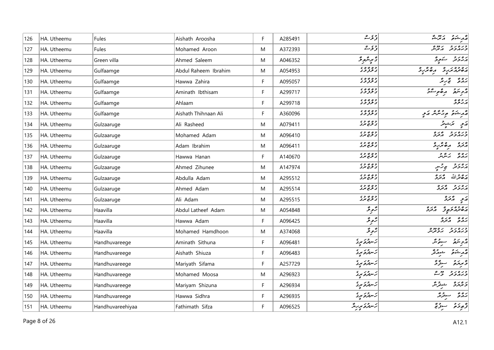| 126 | HA. Utheemu | Fules            | Aishath Aroosha      | F  | A285491 | د ۍ ه                                           | انجمهر شده در در در در به<br>اقدام شده در مردم   |
|-----|-------------|------------------|----------------------|----|---------|-------------------------------------------------|--------------------------------------------------|
| 127 | HA. Utheemu | Fules            | Mohamed Aroon        | M  | A372393 | د ، ه                                           | כנסנכ נכס<br>כממכת מינית                         |
| 128 | HA. Utheemu | Green villa      | Ahmed Saleem         | M  | A046352 | دمېرىموقە                                       | د د د د سکوه                                     |
| 129 | HA. Utheemu | Gulfaamge        | Abdul Raheem Ibrahim | M  | A054953 | و ه و ه ه ،<br>د ترتر تر د                      | גם כם גם הפתיק                                   |
| 130 | HA. Utheemu | Gulfaamge        | Hawwa Zahira         | F  | A095057 | وه پره پ<br>د ترتر تر                           |                                                  |
| 131 | HA. Utheemu | Gulfaamge        | Aminath Ibthisam     | F  | A299717 | و ه و ه ه ،<br>د ترتر تر د                      | وموسكو وعويد                                     |
| 132 | HA. Utheemu | Gulfaamge        | Ahlaam               | F  | A299718 | د ه و ه ه ،<br>د ترتر تر                        | $\frac{1}{2}$                                    |
| 133 | HA. Utheemu | Gulfaamge        | Aishath Thihnaan Ali | F  | A360096 | وه پ <sup>ر</sup> ه بر<br>د <del>و</del> تو و د | وأمشوه وبالرهر وكم                               |
| 134 | HA. Utheemu | Gulzaaruge       | Ali Rasheed          | M  | A079411 | و ه پر و ،<br>د نومځ مرد                        | ر<br>مرکز مرکز د                                 |
| 135 | HA. Utheemu | Gulzaaruge       | Mohamed Adam         | M  | A096410 | و ه پر و ،<br>د نومځ مرد                        |                                                  |
| 136 | HA. Utheemu | Gulzaaruge       | Adam Ibrahim         | M  | A096411 | و ه پر و ،<br>د نومځ مرد                        | أرمزد مصرير                                      |
| 137 | HA. Utheemu | Gulzaaruge       | Hawwa Hanan          | F  | A140670 | و ه پر و ،<br>د نومځ مرد                        | رەپ بەير                                         |
| 138 | HA. Utheemu | Gulzaaruge       | Ahmed Zihunee        | M  | A147974 | و ه پر و ،<br>د نومځ مرد                        | أرورو بررسي                                      |
| 139 | HA. Utheemu | Gulzaaruge       | Abdulla Adam         | M  | A295512 | و ه پر و ء<br>د نومځ مرد                        | په ره<br>د ترو<br>ەھىراللە                       |
| 140 | HA. Utheemu | Gulzaaruge       | Ahmed Adam           | M  | A295514 | و ه پر و ء<br>د نومځ مرد                        | ג ס ג פ בי פי ס                                  |
| 141 | HA. Utheemu | Gulzaaruge       | Ali Adam             | M  | A295515 | و ه پر و ء<br>د نومځ مرد                        | أەسم مدىرە                                       |
| 142 | HA. Utheemu | Haavilla         | Abdul Latheef Adam   | M  | A054848 | رٌّہ ِ وََ                                      | גם כסג פ<br>גם מרית תו המרי                      |
| 143 | HA. Utheemu | Haavilla         | Hawwa Adam           | F. | A096425 | تروتر                                           | رەپ پەرە<br>بەھ مەمر                             |
| 144 | HA. Utheemu | Haavilla         | Mohamed Hamdhoon     | M  | A374068 | ترويڅه                                          | وره رو ده ده ه<br><i>وبرم</i> ونر برونرس         |
| 145 | HA. Utheemu | Handhuvareege    | Aminath Sithuna      | F  | A096481 | ئەسە <i>تى كى</i> رى                            | سىۋىتر<br>سە<br>ړ څر سره                         |
| 146 | HA. Utheemu | Handhuvareege    | Aishath Shiuza       | F  | A096483 | ر سرو کر د <sup>ی</sup> ک                       | و ديگر شور فر<br>د کر شور فر                     |
| 147 | HA. Utheemu | Handhuvareege    | Mariyath Sifama      | F  | A257729 | ئەسە <i>تى ئە</i> رى                            | $\frac{2}{3}$ $\frac{2}{3}$                      |
| 148 | HA. Utheemu | Handhuvareege    | Mohamed Moosa        | M  | A296923 | ئەسە <i>تى كى</i> رىگى<br>مەسىرى                | دومثر<br>و ر ه ر د<br>تر پر ژ تر                 |
| 149 | HA. Utheemu | Handhuvareege    | Mariyam Shizuna      | F  | A296934 | ئەسە <i>تى كى</i> رى                            | ے فریگر<br>کے<br>ر ہ ر ہ<br>تر <del>ب</del> ر بر |
| 150 | HA. Utheemu | Handhuvareege    | Hawwa Sidhra         | F  | A296935 | ئەسەرىم سرىم                                    | $\frac{1}{2}$                                    |
| 151 | HA. Utheemu | Handhuvareehiyaa | Fathimath Sifza      | F. | A096525 | ئەسەرى ئېرىرىدىگە                               | و محمد المسوري                                   |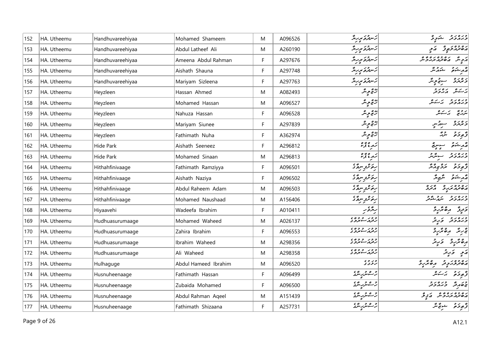| 152 | HA. Utheemu | Handhuvareehiyaa | Mohamed Shameem      | M           | A096526 | <br>  ئەسەرى ئىرىرىدىكە                 | دره در در در د                                      |
|-----|-------------|------------------|----------------------|-------------|---------|-----------------------------------------|-----------------------------------------------------|
| 153 | HA. Utheemu | Handhuvareehiyaa | Abdul Latheef Ali    | M           | A260190 | ئەسەقرىرىسىدىگە                         | גם כפי בין הב                                       |
| 154 | HA. Utheemu | Handhuvareehiyaa | Ameena Abdul Rahman  | F           | A297676 | ئەسەرى سەرىدىگە                         | ر شهر ده وه دره ده                                  |
| 155 | HA. Utheemu | Handhuvareehiyaa | Aishath Shauna       | F           | A297748 | ر<br>سرچرې پېړېد                        | ۇرىشكى ئىگەر                                        |
| 156 | HA. Utheemu | Handhuvareehiyaa | Mariyam Sizleena     | F           | A297763 | <br> سىرى ئېرىدىكى                      | دەرە سىم دىگر                                       |
| 157 | HA. Utheemu | Heyzleen         | Hassan Ahmed         | M           | A082493 | ارچ <sub>مح</sub> بشر                   | يرك مدار ورور                                       |
| 158 | HA. Utheemu | Heyzleen         | Mohamed Hassan       | M           | A096527 | ر<br>ئەقھ بەشر                          | ورەرو پەسەر                                         |
| 159 | HA. Utheemu | Heyzleen         | Nahuza Hassan        | F           | A096528 |                                         | لترجيح الكاسكانكل                                   |
| 160 | HA. Utheemu | Heyzleen         | Mariyam Siunee       | $\mathsf F$ | A297839 | ا شع پی شر<br>                          | ويوبره<br>سىدۇبىر                                   |
| 161 | HA. Utheemu | Heyzleen         | Fathimath Nuha       | F           | A362974 | ر، پرې په په په مخ<br>مخ                | ىترمجە<br>ء مر د<br>ترموخ م                         |
| 162 | HA. Utheemu | Hide Park        | Aishath Seeneez      | F           | A296812 | ر<br>سره بوره                           | ۇ مەشەھ<br>مەرىشەھ<br>سوسرچ                         |
| 163 | HA. Utheemu | <b>Hide Park</b> | Mohamed Sinaan       | M           | A296813 | بر و و ژرا<br>سره بورا                  | و ر ه ر د<br>د بر بر تر<br>سەمئرىتر                 |
| 164 | HA. Utheemu | Hithahfinivaage  | Fathimath Ramziyya   | F           | A096501 | رىم <sup>3</sup> ىرىدىمى                | ژوده نرویمه                                         |
| 165 | HA. Utheemu | Hithahfinivaage  | Aishath Naziya       | $\mathsf F$ | A096502 | ىرە تروپىر <i>ۇ</i> ئ                   | ۇرمىنى ئىر                                          |
| 166 | HA. Utheemu | Hithahfinivaage  | Abdul Raheem Adam    | M           | A096503 | رىم <sup>3</sup> ىرىدىمى                | גם כם גם הינים                                      |
| 167 | HA. Utheemu | Hithahfinivaage  | Mohamed Naushaad     | M           | A156406 | ىرە ئىروپىر <i>ە ئ</i>                  | ورەرو بەردەر<br><i>جەمەدىر</i> شەشقىر               |
| 168 | HA. Utheemu | Hiyaavehi        | Wadeefa Ibrahim      | F           | A010411 | ىرەژۇپ                                  | وَمَرِزٌ مِنْ مُرْرِدٌ                              |
| 169 | HA. Utheemu | Hudhuasurumaage  | Mohamed Waheed       | M           | A026137 | و ور _و و ده ،<br>رتوبر سنهرو ی         | ورەر ئەرگە                                          |
| 170 | HA. Utheemu | Hudhuasurumaage  | Zahira Ibrahim       | F           | A096553 | و ور _ و و پر د<br>رتوپر — بور ی        | تجربته وهتربرد                                      |
| 171 | HA. Utheemu | Hudhuasurumaage  | Ibrahim Waheed       | M           | A298356 | و ورحيدونو ۽<br>ريوپر سنوپوري           | وە ئۇرۇ بۇ بو                                       |
| 172 | HA. Utheemu | Hudhuasurumaage  | Ali Waheed           | M           | A298358 |                                         | أرسم أأتمد وتر                                      |
| 173 | HA. Utheemu | Hulhaguge        | Abdul Hameed Ibrahim | M           | A096520 | و ر و ء<br>رنگوي                        | גם בפניק בי הסתניק                                  |
| 174 | HA. Utheemu | Husnuheenaage    | Fathimath Hassan     | F           | A096499 | 2 مەش <sub>رىپ</sub> ىدىكى<br>مەسرىپە   | ۇيۇچۇ بەسكىل                                        |
| 175 | HA. Utheemu | Husnuheenaage    | Zubaida Mohamed      | F           | A096500 | ر مەيرى <sub>ر بىرى</sub><br>مەسرىپەتتە | כן כנסנב                                            |
| 176 | HA. Utheemu | Husnuheenaage    | Abdul Rahman Aqeel   | M           | A151439 | ر مەش <sub>رىپ</sub> ىدىكى<br>مەسرىپە   | ر 2010 - 20 مرد 20<br>20 تر <i>۾ جي جي جي جي</i> حر |
| 177 | HA. Utheemu | Husnuheenaage    | Fathimath Shizaana   | F           | A257731 | 2 مەمۇر <i>يۇ</i> ئ                     | تۇجۇچ ھېتىگە                                        |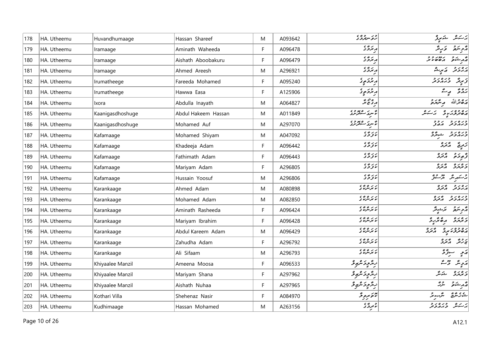| 178 | HA. Utheemu | Huvandhumaage    | Hassan Shareef      | M           | A093642 | و ر پرونډۍ<br>روسربرو د                         | ىز سىر شىر ئىلىن ئىلىن ئىلىن ئىلىن ئىلىن ئىلىن ئىلىن ئىلىن ئىلىن ئىلىن ئىلىن ئىلىن ئىللىن ئىللىن ئىللىن ئىلىن<br>ئىللىن ئىللىن ئىللىن ئىللىن ئىللىن ئىللىن ئىللىن ئىللىن ئىللىن ئىللىن ئىللىن ئىللىن ئىللىن ئىللىن ئىللىن ئىللى<br> |
|-----|-------------|------------------|---------------------|-------------|---------|-------------------------------------------------|-------------------------------------------------------------------------------------------------------------------------------------------------------------------------------------------------------------------------------------|
| 179 | HA. Utheemu | Iramaage         | Aminath Waheeda     | F.          | A096478 | بر بر بر بر<br>در برگر ی                        | ة مقررة مقديمة.<br>مقر مقررة مقررة                                                                                                                                                                                                  |
| 180 | HA. Utheemu | Iramaage         | Aishath Aboobakuru  | F           | A096479 | لربريره                                         |                                                                                                                                                                                                                                     |
| 181 | HA. Utheemu | Iramaage         | Ahmed Areesh        | M           | A296921 | لرىزە                                           | رەرد كېرىش                                                                                                                                                                                                                          |
| 182 | HA. Utheemu | Irumatheege      | Fareeda Mohamed     | F.          | A095240 | پر ټر ځري<br>                                   | تربيع ورورو                                                                                                                                                                                                                         |
| 183 | HA. Utheemu | Irumatheege      | Hawwa Easa          | F           | A125906 | ېر بر دې<br>بر بر دې                            | بره و میگ                                                                                                                                                                                                                           |
| 184 | HA. Utheemu | Ixora            | Abdulla Inayath     | M           | A064827 | 500                                             | رەداللە مەشرەر                                                                                                                                                                                                                      |
| 185 | HA. Utheemu | Kaanigasdhoshuge | Abdul Hakeem Hassan | M           | A011849 | تۇسرى سەۋە يە<br>  ئەسرىكە سەۋىرىدى             | رە دەر بەر ئەسكىر                                                                                                                                                                                                                   |
| 186 | HA. Utheemu | Kaanigasdhoshuge | Mohamed Auf         | M           | A297070 | شهریر ۱۶۵۵ و <sup>ی</sup><br>  شهریر سوفتر مربو | כנסני נכני<br>כ <i>ג</i> ובע ומג                                                                                                                                                                                                    |
| 187 | HA. Utheemu | Kafamaage        | Mohamed Shiyam      | M           | A047092 | ر ر » ،<br>ما ؤ د د                             | ورەر دېھرو                                                                                                                                                                                                                          |
| 188 | HA. Utheemu | Kafamaage        | Khadeeja Adam       | F.          | A096442 | ر ر » ،<br>ما ؤ ژ د                             | كزمرة مرترو                                                                                                                                                                                                                         |
| 189 | HA. Utheemu | Kafamaage        | Fathimath Adam      | F           | A096443 | ر ر پر پر<br>رو تر <sub>تر</sub>                | توجو و محمده                                                                                                                                                                                                                        |
| 190 | HA. Utheemu | Kafamaage        | Mariyam Adam        | $\mathsf F$ | A296805 | ر ر پر پر<br>مانو <del>ر</del> تر               | ر ه ر ه<br>د بربرد<br>ەردە                                                                                                                                                                                                          |
| 191 | HA. Utheemu | Kafamaage        | Hussain Yoosuf      | M           | A296806 | ر ر » ،<br>ما تو <del>ر</del> د                 | جر سے <sub>مر</sub> جو حاصر ہوتا ہے۔<br>مراجعہ میں اس کا مراجعہ کو مر                                                                                                                                                               |
| 192 | HA. Utheemu | Karankaage       | Ahmed Adam          | M           | A080898 | ر ر ه و د ،<br>ما بر سرد د                      | ره رح ده<br>پرېدن پر تر                                                                                                                                                                                                             |
| 193 | HA. Utheemu | Karankaage       | Mohamed Adam        | M           | A082850 | ر ر ه و د ،<br>ما <del>ب</del> رمبر <i>دا</i> د | وره رو په ره<br><i>وبرم</i> ونر متر <i>و</i>                                                                                                                                                                                        |
| 194 | HA. Utheemu | Karankaage       | Aminath Rasheeda    | F           | A096424 | ر ر ه و د ،<br>ما بر سرد د                      | أأترج مترهم التمر شوقد                                                                                                                                                                                                              |
| 195 | HA. Utheemu | Karankaage       | Mariyam Ibrahim     | F.          | A096428 | ر ر ه و د ،<br>ما <del>ب</del> رس               |                                                                                                                                                                                                                                     |
| 196 | HA. Utheemu | Karankaage       | Abdul Kareem Adam   | M           | A096429 | ر ر ه و ،<br>ما <del>ب</del> رمبر <i>ما</i> ی   | ره وه ره دره<br>مان وه در مانده                                                                                                                                                                                                     |
| 197 | HA. Utheemu | Karankaage       | Zahudha Adam        | F.          | A296792 | ر ر ه و د ،<br>ما مرس                           | ر و پر محمده<br>ایم رفتر                                                                                                                                                                                                            |
| 198 | HA. Utheemu | Karankaage       | Ali Sifaam          | M           | A296793 | ر ره و د<br>ما بر مرما د                        | $\begin{array}{cc} \circ & \circ & \circ & \circ \\ \circ & \circ & \circ & \circ \end{array}$                                                                                                                                      |
| 199 | HA. Utheemu | Khiyaalee Manzil | Ameena Moosa        | F           | A096533 | ر پژو <i>چ</i> شمېر محر                         | أرَوِيثر المحر شر                                                                                                                                                                                                                   |
| 200 | HA. Utheemu | Khiyaalee Manzil | Mariyam Shana       | F           | A297962 | ر پژ <sub>یو</sub> ژ پژ <sub>یو</sub> ژ         | ويوبره<br>شەكە                                                                                                                                                                                                                      |
| 201 | HA. Utheemu | Khiyaalee Manzil | Aishath Nuhaa       | $\mathsf F$ | A297965 | ر ژ <sub>گ</sub> وچ ژه <sub>ی</sub> و           | وأمر شكوتم المركز                                                                                                                                                                                                                   |
| 202 | HA. Utheemu | Kothari Villa    | Shehenaz Nasir      | F.          | A084970 | يور<br>  يون <sub>ج محر</sub> مو څر             | ە ئەركىرى ئىش ئىسىرىگى<br>ئىشرىرىگى ئىش ئىسىرىكى                                                                                                                                                                                    |
| 203 | HA. Utheemu | Kudhimaage       | Hassan Mohamed      | M           | A263156 | لأمروج                                          | ر ره دره دو                                                                                                                                                                                                                         |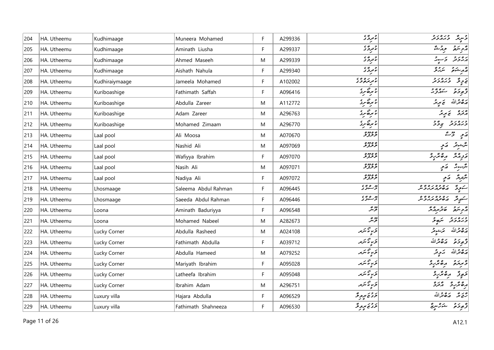| 204 | HA. Utheemu | Kudhimaage     | Muneera Mohamed      | F  | A299336 | د وره و<br>ما تورد د           | و ره ر د<br>تر پر تر تر<br>  د سرپر               |
|-----|-------------|----------------|----------------------|----|---------|--------------------------------|---------------------------------------------------|
| 205 | HA. Utheemu | Kudhimaage     | Aminath Liusha       | F. | A299337 | و د پرې<br>ما مرگ              | أزوبته ورقشة                                      |
| 206 | HA. Utheemu | Kudhimaage     | Ahmed Maseeh         | M  | A299339 | توریح ی                        |                                                   |
| 207 | HA. Utheemu | Kudhimaage     | Aishath Nahula       | F  | A299340 | ړورځ د                         | و گهر ڪو گا<br>سرديو                              |
| 208 | HA. Utheemu | Kudhiraiymaage | Jameela Mohamed      | F  | A102002 | د دره و ،<br>مونرگرو د         | تەر ئەرەر ئ                                       |
| 209 | HA. Utheemu | Kuriboashige   | Fathimath Saffah     | F  | A096416 | توره برد                       | ژ <sub>موخ</sub> ه شهری                           |
| 210 | HA. Utheemu | Kuriboashige   | Abdulla Zareer       | M  | A112772 | د مرگاري<br>ما مرگامري         | أَرَّةٌ فَعَرَاللَّهُ تَجْمِيتُهُ                 |
| 211 | HA. Utheemu | Kuriboashige   | Adam Zareer          | M  | A296763 |                                | أأزاده للمحي برجمه                                |
| 212 | HA. Utheemu | Kuriboashige   | Mohamed Zimaam       | M  | A296770 | تأمره مربح                     | و ر ه ر و<br>تر پر ژ تر<br>م پڅ تر                |
| 213 | HA. Utheemu | Laal pool      | Ali Moosa            | M  | A070670 | ه ودده<br>نونوبونو             | $23 - 24$                                         |
| 214 | HA. Utheemu | Laal pool      | Nashid Ali           | M  | A097069 | ه o oo<br>نوموبومو             | س <sup>م</sup> رشونر کرم<br>مر                    |
| 215 | HA. Utheemu | Laal pool      | Wafiyya Ibrahim      | F  | A097070 | ء ەددە<br>ئرىربونو             | وَوِمهُ<br>ە ھەتئەر 2<br>برەنئەر 2                |
| 216 | HA. Utheemu | Laal pool      | Nasih Ali            | M  | A097071 | ءِ ص <del>دو</del><br>مرڪبو مر | مترجور<br>ەتىر                                    |
| 217 | HA. Utheemu | Laal pool      | Nadiya Ali           | F  | A097072 | ر ه دد ه<br>نونوبونو           | شرمرش كدم                                         |
| 218 | HA. Utheemu | Lhosmaage      | Saleema Abdul Rahman | F  | A096445 | پر 2ء ۽<br>ترڪو <sub>ت</sub>   | ر ٥ ۶ ٥ ٠ ٥ ٠ ٥<br>پرې تر پر بر تر س<br>سەرچ      |
| 219 | HA. Utheemu | Lhosmaage      | Saeeda Abdul Rahman  | F  | A096446 | پر 2ء ۽<br>نر سگوري            | ر ه د ه ر ه د ه<br>په ه تر پر پر تر س<br>سە پەتتر |
| 220 | HA. Utheemu | Loona          | Aminath Baduriyya    | F. | A096548 | دد محر                         | הכתב פניקה                                        |
| 221 | HA. Utheemu | Loona          | Mohamed Nabeel       | M  | A282673 | ترشر                           | و ره ر د<br><i>و پر</i> پر تر<br>سرّە ئر          |
| 222 | HA. Utheemu | Lucky Corner   | Abdulla Rasheed      | M  | A024108 | <br>  ئەرەتىمىد                | ەھىراللە<br>بمرشدقر                               |
| 223 | HA. Utheemu | Lucky Corner   | Fathimath Abdulla    | F  | A039712 | الخەر تىكىد                    | ەھىراللە<br>ۇ بور ە                               |
| 224 | HA. Utheemu | Lucky Corner   | Abdulla Hameed       | M  | A079252 | ائەرەتىد                       | برە دالله برد د                                   |
| 225 | HA. Utheemu | Lucky Corner   | Mariyath Ibrahim     | F  | A095028 | الخيدة يئهد                    |                                                   |
| 226 | HA. Utheemu | Lucky Corner   | Latheefa Ibrahim     | F  | A095048 | ئەرەئىيە<br> -                 | برە ئۆرۈ<br>  تَرْجٍ ثَرَّ                        |
| 227 | HA. Utheemu | Lucky Corner   | Ibrahim Adam         | M  | A296751 | <sub>خەرى</sub> گە ئىرىد       | ە ھەترىرى<br>بر ھەترىرى<br>پر ہ<br>مرتزو          |
| 228 | HA. Utheemu | Luxury villa   | Hajara Abdulla       | F. | A096529 | ئۇچ ئەسرە بەشر                 | یور بر<br>مربی تئر<br>برە قراللە                  |
| 229 | HA. Utheemu | Luxury villa   | Fathimath Shahneeza  | F  | A096530 | ئۇ ئەسم ئەرگە                  | أقرار وحده المستقرح المحرج                        |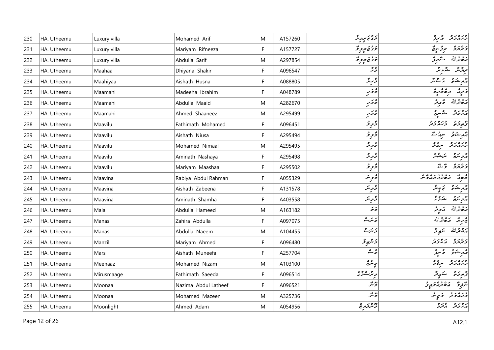| 230 | HA. Utheemu | Luxury villa | Mohamed Arif         | M  | A157260 | ئۇ ئەنجىم بىر بەرگ                                         | ەتىرو<br>و ر ه ر و<br><i>و پر ډ</i> ېر                                      |
|-----|-------------|--------------|----------------------|----|---------|------------------------------------------------------------|-----------------------------------------------------------------------------|
| 231 | HA. Utheemu | Luxury villa | Mariyam Rifneeza     | F. | A157727 | <br>د د نم مړه م                                           | ر ه بر ه<br>د بربر <i>د</i><br>ىرۇپرىچ                                      |
| 232 | HA. Utheemu | Luxury villa | Abdulla Sarif        | M  | A297854 | كخرة ئ <sub>ى</sub> مرەغ <sup>ى</sup> ر                    | سەمبرى<br>ەھىراللە                                                          |
| 233 | HA. Utheemu | Maahaa       | Dhiyana Shakir       | F. | A096547 | $\overset{\circ}{\mathcal{I}}\overset{\circ}{\mathcal{I}}$ | ەرە <i>ر بىر ئى</i> رىمىتى ئى                                               |
| 234 | HA. Utheemu | Maahiyaa     | Aishath Husna        | F  | A088805 | د مر<br>ر                                                  | مەر شەر بىر ئىسىر<br>مەر شەر                                                |
| 235 | HA. Utheemu | Maamahi      | Madeeha Ibrahim      | F  | A048789 | د په بر<br>ر                                               |                                                                             |
| 236 | HA. Utheemu | Maamahi      | Abdulla Maaid        | M  | A282670 | ۇ ئەس<br>مەس                                               | مَ صَعْرَاللّه وَمِعْرَ                                                     |
| 237 | HA. Utheemu | Maamahi      | Ahmed Shaaneez       | M  | A295499 | ۇدىر                                                       | أرور والشرح                                                                 |
| 238 | HA. Utheemu | Maavilu      | Fathimath Mohamed    | F  | A096451 | رَحْمَ عَر                                                 | و ده دره در                                                                 |
| 239 | HA. Utheemu | Maavilu      | Aishath Niusa        | F  | A295494 | رحمو قر                                                    | قەرشكى سىدىگ                                                                |
| 240 | HA. Utheemu | Maavilu      | Mohamed Nimaal       | M  | A295495 | ء<br>رشمبر شر                                              | ورەرو سۆگ                                                                   |
| 241 | HA. Utheemu | Maavilu      | Aminath Nashaya      | F  | A295498 | رَحْمِ مِحْه                                               | سَرَسْتُوبَرُّ<br>أزوبترة                                                   |
| 242 | HA. Utheemu | Maavilu      | Mariyam Maashaa      | F  | A295502 | رَحْمَ عَر                                                 | دەرە ئەڭ                                                                    |
| 243 | HA. Utheemu | Maavina      | Rabiya Abdul Rahman  | F  | A055329 | ۇ ئەيتىر<br>م                                              | ره وه ره د ه<br>پره تربر تر تر تر<br>بڑە پر                                 |
| 244 | HA. Utheemu | Maavina      | Aishath Zabeena      | F  | A131578 | ۇ <sub>جو بىگە</sub>                                       | أمريضهم بمصمر                                                               |
| 245 | HA. Utheemu | Maavina      | Aminath Shamha       | F. | A403558 | ۇ <sub>جو بىگە</sub>                                       | أأروبتهم المشروع                                                            |
| 246 | HA. Utheemu | Mala         | Abdulla Hameed       | M  | A163182 | ۇتى                                                        | رەقىراللە بەرىقە                                                            |
| 247 | HA. Utheemu | Manas        | Zahira Abdulla       | F. | A097075 | ىر ئىر <u>م</u>                                            | تجريحه وكاقدالله                                                            |
| 248 | HA. Utheemu | Manas        | Abdulla Naeem        | M  | A104455 | ئەيترىشە                                                   | رە دالله شھېۋ                                                               |
| 249 | HA. Utheemu | Manzil       | Mariyam Ahmed        | F  | A096480 | ئەنتىبى پى                                                 | بر 2 ر ح<br>م <i>ر</i> بر <del>5</del> تو<br>ر ه ر ه<br><del>د</del> بربرگر |
| 250 | HA. Utheemu | Mars         | Aishath Muneefa      | F  | A257704 | ۇ شە                                                       | أأرمض والمعر                                                                |
| 251 | HA. Utheemu | Meenaaz      | Mohamed Nizam        | M  | A103100 | جريثي                                                      | ورەرو سۆۋ                                                                   |
| 252 | HA. Utheemu | Mirusmaage   | Fathimath Saeeda     | F  | A096514 | ج بر صور و                                                 | تۇپوچۇ سەپەتىر                                                              |
| 253 | HA. Utheemu | Moonaa       | Nazima Abdul Latheef | F  | A096521 | دد مگر                                                     | أشمو والمعتمد والمحمور                                                      |
| 254 | HA. Utheemu | Moonaa       | Mohamed Mazeen       | M  | A325736 | دد مر                                                      | כנסנכ באבי                                                                  |
| 255 | HA. Utheemu | Moonlight    | Ahmed Adam           | M  | A054956 | وحمرتكرهم                                                  | ر ہ ر د پر ہ<br>پر بر تر پر بر                                              |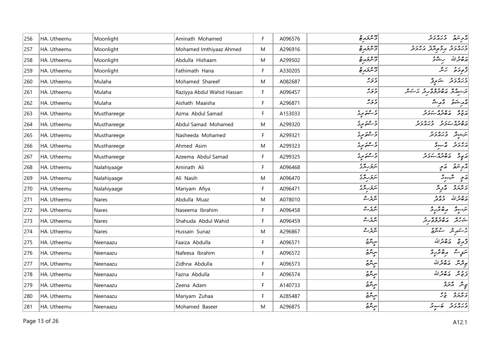| 256 | HA. Utheemu | Moonlight    | Aminath Mohamed            | F         | A096576 | التشريخ برقع              | أروشي وره دو                                           |
|-----|-------------|--------------|----------------------------|-----------|---------|---------------------------|--------------------------------------------------------|
| 257 | HA. Utheemu | Moonlight    | Mohamed Imthiyaaz Ahmed    | M         | A296916 | دو مرير ه                 | وره رو مرور دو ره رو                                   |
| 258 | HA. Utheemu | Moonlight    | Abdulla Hishaam            | ${\sf M}$ | A299502 | وجمع برء                  | رَحْمَدَاللَّهُ رَحْمَدَّ<br>وَحَوَدَةُ رَسَّ          |
| 259 | HA. Utheemu | Moonlight    | Fathimath Hana             | F         | A330205 | المتعجز فالمحمدة          |                                                        |
| 260 | HA. Utheemu | Mulaha       | Mohamed Shareef            | ${\sf M}$ | A082687 | ورو                       | ورەر دېم شەيرو                                         |
| 261 | HA. Utheemu | Mulaha       | Raziyya Abdul Wahid Hassan | F         | A096457 | ورو                       |                                                        |
| 262 | HA. Utheemu | Mulaha       | Aishath Maaisha            | F         | A296871 | ورو                       | أقهر شكار المحمومة                                     |
| 263 | HA. Utheemu | Musthareege  | Azma Abdul Samad           | F         | A153033 | د صمر مرد<br>م            | د و ده ده و در و<br>منح د من هرم سوونر                 |
| 264 | HA. Utheemu | Musthareege  | Abdul Samad Mohamed        | ${\sf M}$ | A299320 | و هم مړي<br>د             | נסכם נגב כנסגב<br>גם <i>בנג</i> הבב בגבבת              |
| 265 | HA. Utheemu | Musthareege  | Nasheeda Mohamed           | F         | A299321 | د ه.<br>د سگهڅونو         | يَرْجُونَّرُ - 25,050                                  |
| 266 | HA. Utheemu | Musthareege  | Ahmed Asim                 | M         | A299323 | ژ_ه هر سره<br>  ژ_شوه سره |                                                        |
| 267 | HA. Utheemu | Musthareege  | Azeema Abdul Samad         | F         | A299325 | د ه.<br>د سوه مړي         | ر ٥ ٥ ٥ ٥ ٠ ٠<br>۵ تو تر ۸ سور تر<br>ړې پ <sup>ی</sup> |
| 268 | HA. Utheemu | Nalahiyaage  | Aminath Ali                | F         | A096468 | يحر پرچ                   | ړې شيز په کړ                                           |
| 269 | HA. Utheemu | Nalahiyaage  | Ali Nasih                  | M         | A096470 | يرئز بروء                 | أوسمع المترجور                                         |
| 270 | HA. Utheemu | Nalahiyaage  | Mariyam Afiya              | F         | A096471 | يرۇرېژى                   | ر ه ر ه<br>د بربرو<br>ەتمۇرىتر                         |
| 271 | HA. Utheemu | <b>Nares</b> | Abdulla Muaz               | ${\sf M}$ | A078010 | پڑ پر ہ                   | و پر و<br>حرا <i>م</i> فر<br>ەھىراللە                  |
| 272 | HA. Utheemu | <b>Nares</b> | Naseema Ibrahim            | F         | A096458 | پري ھ<br>متر <i>پڻ</i>    | بتربيرة المقتربة                                       |
| 273 | HA. Utheemu | Nares        | Shahuda Abdul Wahid        | F         | A096459 | ىئرىزىشە                  | د دو ده ده ده د<br>شرکتر هاه در در د                   |
| 274 | HA. Utheemu | Nares        | Hussain Sunaz              | ${\sf M}$ | A296867 | ىئر پر م                  | چرىسى سىتىرچ                                           |
| 275 | HA. Utheemu | Neenaazu     | Faaiza Abdulla             | F         | A096571 | سریٹر پر                  | قَرْمِ مَنْ مَدَاللّه                                  |
| 276 | HA. Utheemu | Neenaazu     | Nafeesa Ibrahim            | F         | A096572 | سریٹرچ                    | بتريت مەھمىرد                                          |
| 277 | HA. Utheemu | Neenaazu     | Zidhna Abdulla             | F         | A096573 | سرینڈچ                    | ىم قريمً مَدْ هُدَاللّه                                |
| 278 | HA. Utheemu | Neenaazu     | Fazna Abdulla              | F         | A096574 | سریٹر پر                  | ترتج تثر الكافقرالله                                   |
| 279 | HA. Utheemu | Neenaazu     | Zeena Adam                 | F         | A140733 | سریٹر پر                  | پې شه د گرمرو                                          |
| 280 | HA. Utheemu | Neenaazu     | Mariyam Zuhaa              | F         | A285487 | سرینز چ                   |                                                        |
| 281 | HA. Utheemu | Neenaazu     | Mohamed Baseer             | ${\sf M}$ | A296875 | سریٹرچ                    | وره دو که دیگر                                         |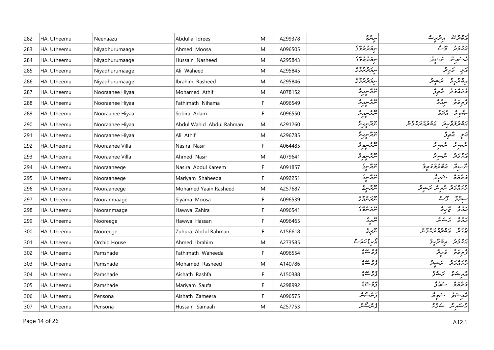| 282 | HA. Utheemu | Neenaazu        | Abdulla Idrees           | M           | A299378 | سرینز پر                                      | أرة قرالله مقرسية                                  |
|-----|-------------|-----------------|--------------------------|-------------|---------|-----------------------------------------------|----------------------------------------------------|
| 283 | HA. Utheemu | Niyadhurumaage  | Ahmed Moosa              | M           | A096505 | سر د و و و و<br>سرتر پرو د                    | رەر دىگ                                            |
| 284 | HA. Utheemu | Niyadhurumaaqe  | Hussain Nasheed          | M           | A295843 | سرد و و د ه<br>سرتر ترو د                     | چرىكىرىش ئىكرىدىگى                                 |
| 285 | HA. Utheemu | Niyadhurumaage  | Ali Waheed               | M           | A295845 | سر د و و و د<br>سرتر ترو د                    | أرشح أترسمه                                        |
| 286 | HA. Utheemu | Niyadhurumaage  | Ibrahim Rasheed          | M           | A295846 | سر د و و پر ،<br>سرتر تر تر ی                 | دە ئەرە<br>ئەرىشەدىر<br>ئ                          |
| 287 | HA. Utheemu | Nooraanee Hiyaa | Mohamed Athif            | M           | A078152 | تر پژمېر برگر<br>سرچينې                       | وره د د و و                                        |
| 288 | HA. Utheemu | Nooraanee Hiyaa | Fathimath Nihama         | F           | A096549 | دور<br>مربر سربر مر                           | قەم ئەرگە                                          |
| 289 | HA. Utheemu | Nooraanee Hiyaa | Sobira Adam              | F.          | A096550 | دوره<br>مربر سربرگر                           | بەھەر ئەرە                                         |
| 290 | HA. Utheemu | Nooraanee Hiyaa | Abdul Wahid Abdul Rahman | M           | A291260 | دوره<br>مترنگرسرسره                           | ره وه په د ده وه د ه وه ده د و                     |
| 291 | HA. Utheemu | Nooraanee Hiyaa | Ali Athif                | M           | A296785 | در پر<br>سر پر سر به بر                       | أرشم أوالمجمو                                      |
| 292 | HA. Utheemu | Nooraanee Villa | Nasira Nasir             | F           | A064485 | متر پڑ <sub>سر پر ب</sub> ڑ<br>مس <u>سس</u> ر | للرسونة الكرسونة                                   |
| 293 | HA. Utheemu | Nooraanee Villa | Ahmed Nasir              | M           | A079641 | لترتز يبرء قحه                                | رەرد شەر                                           |
| 294 | HA. Utheemu | Nooraaneege     | Nasira Abdul Kareem      | $\mathsf F$ | A091857 | دور میری<br>متر پژمېری                        | ترجو مەمدىرىم                                      |
| 295 | HA. Utheemu | Nooraaneege     | Mariyam Shaheeda         | F           | A092251 | ترپژسر،                                       | و وره شریگر                                        |
| 296 | HA. Utheemu | Nooraaneege     | Mohamed Yaain Rasheed    | M           | A257687 | دو پر<br>سربر سرپر                            | ورەرو پەرشى كەشون                                  |
| 297 | HA. Utheemu | Nooranmaage     | Siyama Moosa             | $\mathsf F$ | A096539 | دد ر ه و ،<br>سرپرسرچ ی                       | وحرثة<br>سىزىر                                     |
| 298 | HA. Utheemu | Nooranmaage     | Hawwa Zahira             | F           | A096541 | دد بر ۵ پر پر<br>سرچر سرچر <sub>ک</sub>       | برەپچ<br>ىتى سەتتىر                                |
| 299 | HA. Utheemu | Nooreege        | Hawwa Hassan             | F           | A096465 | دو<br>مترسمي <sup>5</sup>                     | برەپ برسەش                                         |
| 300 | HA. Utheemu | Nooreege        | Zuhura Abdul Rahman      | F           | A156618 | دو<br>مترسمي <sup>ى</sup>                     | ره وه ره د ه<br>پره تربر تر تر<br>د د بر<br>محامتر |
| 301 | HA. Utheemu | Orchid House    | Ahmed Ibrahim            | M           | A273585 | ەر بەر ئەر ئە                                 | ىر ھەترىر <i>ۋ</i><br>پر ژبخ تر                    |
| 302 | HA. Utheemu | Pamshade        | Fathimath Waheeda        | F           | A096554 | و و يړه<br>برخې                               | وٌمِ وَمَعْ وَرِ مَدْ                              |
| 303 | HA. Utheemu | Pamshade        | Mohamed Rasheed          | M           | A140786 | ې ده <sup>ي</sup>                             | ورەرو كەشەتر                                       |
| 304 | HA. Utheemu | Pamshade        | Aishath Rashfa           | F           | A150388 | اپره پړه<br>برخ                               | أقهر شدة أبراء وتحريج                              |
| 305 | HA. Utheemu | Pamshade        | Mariyam Saufa            | F           | A298992 | اپره پړه<br>برخ                               | ره ره دود<br>وبودو سودنی                           |
| 306 | HA. Utheemu | Pensona         | Aishath Zameera          | F           | A096575 | ئۇيترىش <i>ى</i> تر                           | ۇرمۇق سۈچكى                                        |
| 307 | HA. Utheemu | Pensona         | Hussain Samaah           | M           | A257753 | ا <sub>ن</sub> ۇيرىشقى <del>ر</del>           | جر سکھریں کے متحد جما                              |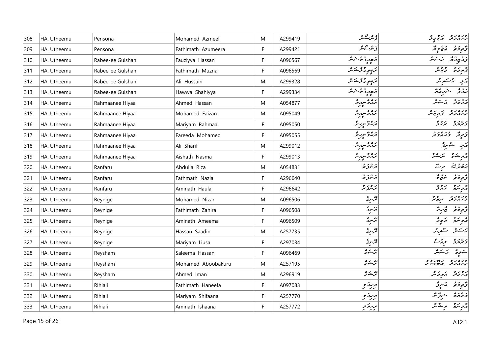| 308 | HA. Utheemu | Pensona          | Mohamed Azmeel     | M           | A299419 | <mark>ۇيرىش</mark> ىئر                 |                                              |
|-----|-------------|------------------|--------------------|-------------|---------|----------------------------------------|----------------------------------------------|
| 309 | HA. Utheemu | Pensona          | Fathimath Azumeera | $\mathsf F$ | A299421 | ې پر مړين <sub>گ</sub> ر               | توجوخوا المفاج مالا                          |
| 310 | HA. Utheemu | Rabee-ee Gulshan | Fauziyya Hassan    | F           | A096567 |                                        | زریږو پرسکر                                  |
| 311 | HA. Utheemu | Rabee-ee Gulshan | Fathimath Muzna    | F           | A096569 | اپر صور دی شریع<br>په سوم څر شومتر     | و پر د<br>و د بر<br>رې سر                    |
| 312 | HA. Utheemu | Rabee-ee Gulshan | Ali Hussain        | M           | A299328 | ىرەم دىگەشكە<br>ئ                      | ەكىيە سىزىسىسىسىسى<br>مەسىبە                 |
| 313 | HA. Utheemu | Rabee-ee Gulshan | Hawwa Shahiyya     | F           | A299334 | ىر ھەرى ئوشكەنگر<br>سىر ئەسىر ئىشكەنگر | $50 - 20 - 20 - 20$                          |
| 314 | HA. Utheemu | Rahmaanee Hiyaa  | Ahmed Hassan       | M           | A054877 | ىر 2 جەرىر بىر<br>مەركە                | رەرو پرىكە                                   |
| 315 | HA. Utheemu | Rahmaanee Hiyaa  | Mohamed Faizan     | M           | A095049 | ىر 2 گەرىر بىر<br>مەنبەر كەر           | ورەرو تەرىخ                                  |
| 316 | HA. Utheemu | Rahmaanee Hiyaa  | Mariyam Rahmaa     | $\mathsf F$ | A095050 | ىر قەترىپەر<br>مەنبەر ئەس              |                                              |
| 317 | HA. Utheemu | Rahmaanee Hiyaa  | Fareeda Mohamed    | F           | A095055 | ىر 2 ئەرىر بىر<br>مەنبەر ئەس           | ور ه ر و<br><i>د ب</i> رگرفر<br>  توسیر تنگر |
| 318 | HA. Utheemu | Rahmaanee Hiyaa  | Ali Sharif         | M           | A299012 | ىر 2 گەسىر بەرگە<br>ئەرگە ئەس          | ړې ځېږ <sup>9</sup>                          |
| 319 | HA. Utheemu | Rahmaanee Hiyaa  | Aishath Nasma      | $\mathsf F$ | A299013 | ىر 2 گەسىر بىر<br>ئىرىر كەس            | و مر شو د<br>م<br>ىئەرمەمچ                   |
| 320 | HA. Utheemu | Ranfaru          | Abdulla Riza       | M           | A054831 | ىر ھ <sub>ە</sub> ر جە                 | ة صرالله<br>ىرىدىگە                          |
| 321 | HA. Utheemu | Ranfaru          | Fathmath Nazla     | $\mathsf F$ | A296640 | ىر مەرىر<br>مىرىنىزىمە                 | سرچ چ<br>ء مر د<br>ترموخ می                  |
| 322 | HA. Utheemu | Ranfaru          | Aminath Haula      | $\mathsf F$ | A296642 | ىر ھ <sub>ە</sub> ر جە                 | أأدوبترة المروفر                             |
| 323 | HA. Utheemu | Reynige          | Mohamed Nizar      | M           | A096506 | ر<br>مرسری                             | ور ه ر و<br>تر پر تر تر<br>سرچ تر            |
| 324 | HA. Utheemu | Reynige          | Fathimath Zahira   | F           | A096508 | عئ <i>مبر</i><br> تعرسری               | ىتى سەتتىر<br>ۇ بور د                        |
| 325 | HA. Utheemu | Reynige          | Aminath Ameema     | F           | A096509 | ر<br>تنزمبرند                          | أأرمره<br>بروځ                               |
| 326 | HA. Utheemu | Reynige          | Hassan Saadin      | M           | A257735 | ى<br>ئىرسرى                            | سەھرىس<br>برسەيىتە                           |
| 327 | HA. Utheemu | Reynige          | Mariyam Liusa      | F           | A297034 | ىيە<br>ئىرسرى                          | ر ه ر ه<br><del>ر</del> بربرگ<br>ىرزىشە      |
| 328 | HA. Utheemu | Reysham          | Saleema Hassan     | $\mathsf F$ | A096469 | ەر بەر <i>ە</i>                        | پرسەيىر<br>سەرچ                              |
| 329 | HA. Utheemu | Reysham          | Mohamed Aboobakuru | M           | A257195 | يرشدو                                  | و ر ه ر د<br>تر پر ژ تر<br>77/77/            |
| 330 | HA. Utheemu | Reysham          | Ahmed Iman         | M           | A296919 | بۇيئەد                                 | גפיי הגביל                                   |
| 331 | HA. Utheemu | Rihiali          | Fathimath Haneefa  | $\mathsf F$ | A097083 | برر پر<br>ر                            | ۇيودۇ ئەيدۇ                                  |
| 332 | HA. Utheemu | Rihiali          | Mariyam Shifaana   | F           | A257770 | برردیو                                 | وبروه<br>ے وگر مگر<br>ے                      |
| 333 | HA. Utheemu | Rihiali          | Aminath Ishaana    | $\mathsf F$ | A257772 | ىرىر ەكىر<br>ئەر                       | مەمەمىق مەشقىتر                              |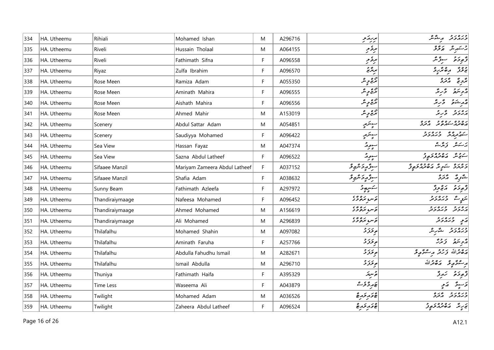|     |             |                  |                               |           |         |                                       | ورەرو مشمر                                 |
|-----|-------------|------------------|-------------------------------|-----------|---------|---------------------------------------|--------------------------------------------|
| 334 | HA. Utheemu | Rihiali          | Mohamed Ishan                 | M         | A296716 | امریره <del>ک</del> و                 |                                            |
| 335 | HA. Utheemu | Riveli           | Hussain Tholaal               | M         | A064155 | ىرەً م                                | 2 سەر شەھ بولۇغ                            |
| 336 | HA. Utheemu | Riveli           | Fathimath Sifna               | F         | A096558 | برءٌ مر                               | أزَّهِ دَءَ مَسَرٌ مَدَّ                   |
| 337 | HA. Utheemu | Riyaz            | Zulfa Ibrahim                 | F         | A096570 | بر پڑ د<br>مر                         | برە ئۆرۈ<br>ە 29°<br>ئى خرى                |
| 338 | HA. Utheemu | Rose Meen        | Ramiza Adam                   | F         | A055350 | 0 ەر ھەر<br>ئىرىج جەنبىر              | برويخ أردو                                 |
| 339 | HA. Utheemu | Rose Meen        | Aminath Mahira                | F         | A096555 | بر چ چ <sub>ه م</sub> ر               | أأدبتكم أذرائه                             |
| 340 | HA. Utheemu | Rose Meen        | Aishath Mahira                | F         | A096556 | ئىر ئەچە بىر                          | ە ئەستىم ئىرىگە                            |
| 341 | HA. Utheemu | Rose Meen        | Ahmed Mahir                   | ${\sf M}$ | A153019 | ە ھې ھە<br>ئىرىج جەنئىر               | رەر ئەرج                                   |
| 342 | HA. Utheemu | Scenery          | Abdul Sattar Adam             | ${\sf M}$ | A054851 | سەمىر<br>ئ                            | נסכם נספכ בנס<br>גם <i>נגר – הפ</i> צ הנגב |
| 343 | HA. Utheemu | Scenery          | Saudiyya Mohamed              | F         | A096422 | سەمىر<br>ئ                            | בינה כנסיב                                 |
| 344 | HA. Utheemu | Sea View         | Hassan Fayaz                  | M         | A047374 | سوەر                                  | برسەش ئەبۇرى                               |
| 345 | HA. Utheemu | Sea View         | Sazna Abdul Latheef           | F         | A096522 | اسوه<br>شعوه                          | ر د د ده ده ده د ورځ                       |
| 346 | HA. Utheemu | Sifaaee Manzil   | Mariyam Zameera Abdul Latheef | F         | A037152 | – <sub>وژېږ</sub> د ش <sub>عر</sub> و | ر ٥ ره د عرد بر ٥ د ٥ د ٠                  |
| 347 | HA. Utheemu | Sifaaee Manzil   | Shafia Adam                   | F         | A038632 | سىز ئەر ئەنگى <sub>م</sub> ۇ          | شَورة مرترد                                |
| 348 | HA. Utheemu | Sunny Beam       | Fathimath Azleefa             | F         | A297972 | ر<br>سەسرە تە                         | وتموذة المتحافرة                           |
| 349 | HA. Utheemu | Thandiraiymaage  | Nafeesa Mohamed               | F         | A096452 | <br>  پښتو بره د د                    | تروث ورەرو                                 |
| 350 | HA. Utheemu | Thandiraiymaage  | Ahmed Mohamed                 | M         | A156619 | ئۆسرە ئىرە ئەي                        | ג סגב בג סגב<br>הגבע בגהבע                 |
| 351 | HA. Utheemu | Thandiraiymaage  | Ali Mohamed                   | M         | A296839 | <br>  ئۆسرو ئىز ئۆر ئ                 | أثمو وره رد                                |
| 352 | HA. Utheemu | Thilafalhu       | Mohamed Shahin                | M         | A097082 | وتزوز                                 | ورەرو ئەرش                                 |
| 353 | HA. Utheemu | Thilafalhu       | Aminath Faruha                | F         | A257766 | موځونو ژ                              | ومحر يتمرد والمروم                         |
| 354 | HA. Utheemu | Thilafalhu       | Abdulla Fahudhu Ismail        | M         | A282671 | موځونو څ                              | رە داللە ئەردىر مەشۇر يۇ                   |
| 355 | HA. Utheemu | Thilafalhu       | Ismail Abdulla                | M         | A296710 | وتزوز                                 | م حوّمة مقابلة                             |
| 356 | HA. Utheemu | Thuniya          | Fathimath Haifa               | F         | A395329 | قحرسر                                 | وَجوحَم رَوِرْ                             |
| 357 | HA. Utheemu | <b>Time Less</b> | Waseema Ali                   | F         | A043879 | غەر دىمى ي                            | كالحاسبوق الأمير                           |
| 358 | HA. Utheemu | Twilight         | Mohamed Adam                  | M         | A036526 | ع ءَ مر ځرم ع                         | כנסני בנס<br>כמהכת הבנ                     |
| 359 | HA. Utheemu | Twilight         | Zaheera Abdul Latheef         | F         | A096524 | ع ءَ ہر ځرم ع                         | ي پر مصر محمد م                            |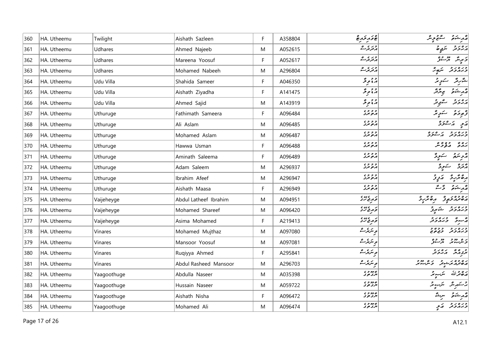| 360 | HA. Utheemu | Twilight       | Aishath Sazleen       | F  | A358804 | ع ءَ <sub>مر</sub> غرم ع       | و<br>ورمسكونج الشيخ مريش                              |
|-----|-------------|----------------|-----------------------|----|---------|--------------------------------|-------------------------------------------------------|
| 361 | HA. Utheemu | <b>Udhares</b> | Ahmed Najeeb          | M  | A052615 | ج پر پ <sub>ے</sub><br>مرمر سر | رەر ئىرىمى ئى                                         |
| 362 | HA. Utheemu | <b>Udhares</b> | Mareena Yoosuf        | F. | A052617 | ەربىر ھ                        | كەنبەيىتر بردىسىۋ                                     |
| 363 | HA. Utheemu | <b>Udhares</b> | Mohamed Nabeeh        | M  | A296804 | د ر ۽ ه<br>مرمر سگ             | وره رو ره و                                           |
| 364 | HA. Utheemu | Udu Villa      | Shahida Sameer        | F  | A046350 | ریم عرمحه                      | شۇرىگە سۇچىگە                                         |
| 365 | HA. Utheemu | Udu Villa      | Aishath Ziyadha       | F  | A141475 | لروموقر                        | و د شو د سر د کردگر<br>مرگ                            |
| 366 | HA. Utheemu | Udu Villa      | Ahmed Sajid           | M  | A143919 | رجم عرقته                      | د ه د د عسمت می تو                                    |
| 367 | HA. Utheemu | Uthuruge       | Fathimath Sameera     | F  | A096484 | د د د د<br>پره پرې             | و وده خوړ                                             |
| 368 | HA. Utheemu | Uthuruge       | Ali Aslam             | M  | A096485 | د د د پ<br>پره مرد             | ړې پر ۱۹۶۹                                            |
| 369 | HA. Utheemu | Uthuruge       | Mohamed Aslam         | M  | A096487 | د د د د<br>پره پرې             | ورەرو رەرە<br>ورەرونس مەسىور                          |
| 370 | HA. Utheemu | Uthuruge       | Hawwa Usman           | F  | A096488 | د د د پ<br>پره مرد             | رەپ دەپرە                                             |
| 371 | HA. Utheemu | Uthuruge       | Aminath Saleema       | F  | A096489 | د د د پ<br>پره مرد             | ۇ جە ئىدە<br>مە<br>سنهود                              |
| 372 | HA. Utheemu | Uthuruge       | Adam Saleem           | M  | A296937 | د د د ،<br>پره مرد             | وره سکود                                              |
| 373 | HA. Utheemu | Uthuruge       | Ibrahim Afeef         | M  | A296947 | د د د د<br>پره پرې             | ەھترىر م <i>ۇ</i> رۇ                                  |
| 374 | HA. Utheemu | Uthuruge       | Aishath Maasa         | F  | A296949 | د د د پ<br>پره مرد             | أشر شئتموا المحاسة                                    |
| 375 | HA. Utheemu | Vaijeheyge     | Abdul Latheef Ibrahim | M  | A094951 | ر<br>  تحریح رئ                | ן פרסק<br>הממת בתק<br>دە ئەرى                         |
| 376 | HA. Utheemu | Vaijeheyge     | Mohamed Shareef       | M  | A096420 | ر<br>  تو مربع رئ              | ورەرو شەيرو                                           |
| 377 | HA. Utheemu | Vaijeheyge     | Asima Mohamed         | F. | A219413 | ر<br>تو در ج ر د               | و رە ر د<br>تر پر پر تر تر<br>رژب ژ                   |
| 378 | HA. Utheemu | Vinares        | Mohamed Mujthaz       | M  | A097080 | وبئر پڑے                       | כנסנכ ככבב<br><i>כג</i> ונכנג כבבי                    |
| 379 | HA. Utheemu | Vinares        | Mansoor Yoosuf        | M  | A097081 | وبتر پڑے                       |                                                       |
| 380 | HA. Utheemu | Vinares        | Ruqiyya Ahmed         | F  | A295841 | وبئر پڑے                       | ב כב הכנב                                             |
| 381 | HA. Utheemu | Vinares        | Abdul Rasheed Mansoor | M  | A296703 | ە ئىرىزىشە                     | ره وه بر شوتر می در و د<br>هامه بر بر شوتر می تر شویر |
| 382 | HA. Utheemu | Yaagoothuge    | Abdulla Naseer        | M  | A035398 | ږ د د د د<br>پر ړه د پ         | رە داللە ئىرجىمە                                      |
| 383 | HA. Utheemu | Yaagoothuge    | Hussain Naseer        | M  | A059722 | ږ د د د د<br>پر ړه د د         | رحم المرسر الكرسور                                    |
| 384 | HA. Utheemu | Yaagoothuge    | Aishath Nisha         | F. | A096472 | ږ د د د د<br>پر ړه د پ         | و گهر شوه <sub>و</sub><br>سويند<br>ب                  |
| 385 | HA. Utheemu | Yaagoothuge    | Mohamed Ali           | M  | A096474 | پر دو د ع<br>پر ژه ي           | دره رو په کړې                                         |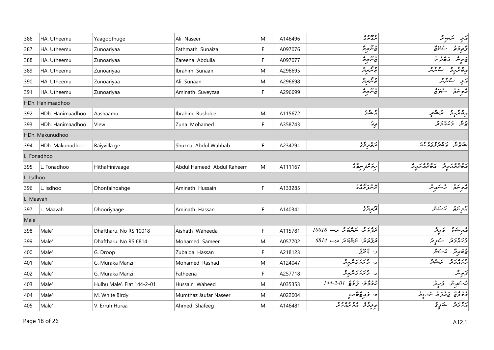| 386         | HA. Utheemu      | Yaagoothuge                | Ali Naseer                | ${\sf M}$ | A146496 | ږ د د د ع<br>پر د ه و د                    | ەكىيە سىسىدىمە<br>مەسىبە                    |
|-------------|------------------|----------------------------|---------------------------|-----------|---------|--------------------------------------------|---------------------------------------------|
| 387         | HA. Utheemu      | Zunoariyaa                 | Fathmath Sunaiza          | F         | A097076 | ج منگر ہو گر                               | و مرد<br>توجو حر<br>شەھىرىنى                |
| 388         | HA. Utheemu      | Zunoariyaa                 | Zareena Abdulla           | F         | A097077 | چە تىرىبەر<br>سى                           | ىم مويتر كەن ھەتراللە                       |
| 389         | HA. Utheemu      | Zunoariyaa                 | Ibrahim Sunaan            | M         | A296695 | چە ئىگرىبىر ئىگە<br>ئى                     | ە ھېڭرىرى<br>ئى<br>سەمئرىتر                 |
| 390         | HA. Utheemu      | Zunoariyaa                 | Ali Sunaan                | M         | A296698 | چ می <sub>کر</sub><br>پر                   | رَ <sub>م</sub> ِ سَنَتَرَسَ                |
| 391         | HA. Utheemu      | Zunoariyaa                 | Aminath Suveyzaa          | F         | A296699 | ە ھېمەرىگە<br>ئى مىگرىمىز                  | و دي دي.<br>تر په سوي                       |
|             | HDh. Hanimaadhoo |                            |                           |           |         |                                            |                                             |
| 392         | HDh. Hanimaadhoo | Aashaamu                   | Ibrahim Rushdee           | ${\sf M}$ | A115672 | پر دید د<br>مرشتر <del>ز</del>             | ەرھەرگەر قىمىشىتىر<br>مەمگەر قىمىشىتىر      |
| 393         | HDh. Hanimaadhoo | View                       | Zuna Mohamed              | F         | A358743 | حرجر                                       |                                             |
|             | HDh. Makunudhoo  |                            |                           |           |         |                                            |                                             |
| 394         | HDh. Makunudhoo  | Raiyvilla ge               | Shuzna Abdul Wahhab       | F         | A234291 | ىرە ھەتتى<br>ئىزغۇغ ئىرى                   | وه د ده ده ده دو<br>شهر پره ترومره          |
| L. Fonadhoo |                  |                            |                           |           |         |                                            |                                             |
| 395         | L. Fonadhoo      | Hithaffinivaage            | Abdul Hameed Abdul Raheem | M         | A111167 | رە ئەر<br>بەر ئىرىس ئىر                    | נס כסני כניס כסנים<br>הסתיכת כתנים הסתה בתב |
| L. Isdhoo   |                  |                            |                           |           |         |                                            |                                             |
| 396         | L. Isdhoo        | Dhonfalhoahge              | Aminath Hussain           | F         | A133285 | ید ہ رہ ہ ،<br>ترس پی براہ ت               | ړې شيځ د جنگه شر                            |
| L. Maavah   |                  |                            |                           |           |         |                                            |                                             |
| 397         | L. Maavah        | Dhooriyaage                | Aminath Hassan            | F         | A140341 | دد<br>تربربری                              | مەمەسى ئەسكىش                               |
| Male'       |                  |                            |                           |           |         |                                            |                                             |
| 398         | Male'            | Dhaftharu. No RS 10018     | Aishath Waheeda           | F         | A115781 | $10018$ مَرْتَزَوْمَ مِنْ سَرْسَعْ مَرْسِع | وكرمشتر وكرفر                               |
| 399         | Male'            | Dhaftharu. No RS 6814      | Mohamed Sameer            | M         | A057702 | رەرىز. ئىر ھەتە بىر سىدە 6814              | ورەرو كەرو                                  |
| 400         | Male'            | G. Droop                   | Zubaida Hassan            | F         | A218123 | ە دەھ<br>ي غىمدىق                          | جەمەتر بركىش                                |
| 401         | Male'            | G. Muraka Manzil           | Mohamed Rashad            | M         | A124047 | ى ئەتمەر ئەھمىي بى                         | ورەر دىر بەر<br><i>دىد</i> رونر بەشگ        |
| 402         | Male'            | G. Muraka Manzil           | Fatheena                  | F         | A257718 | ى ئەسىر ئەركىمى ئى                         | ۇ ج <sub>و</sub> مىگە                       |
| 403         | Male'            | Hulhu Male'. Flat 144-2-01 | Hussain Waheed            | M         | A035353 | $144 - 2 - 01$ $253 - 552$                 | بركستهر مكراته                              |
| 404         | Male'            | M. White Birdy             | Mumthaz Jaufar Naseer     | M         | A022004 | و· وَرِءٍ صَّعرٍ                           | כסמם גבצב ת-                                |
| 405         | Male'            | V. Erruh Huraa             | Ahmed Shafeeg             | M         | A146481 | 220206.                                    | پره پر په شکو پایی                          |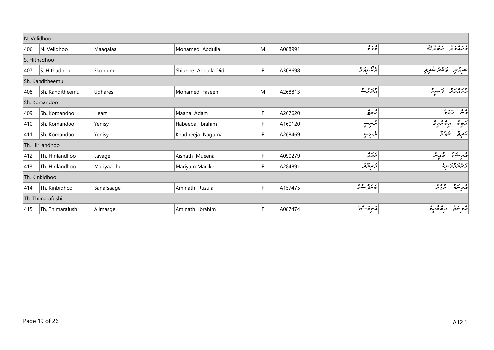|     | N. Velidhoo      |            |                      |   |         |                                  |                                               |
|-----|------------------|------------|----------------------|---|---------|----------------------------------|-----------------------------------------------|
| 406 | N. Velidhoo      | Maagalaa   | Mohamed Abdulla      | M | A088991 | پی پی                            | ورەرو رەورلله                                 |
|     | S. Hithadhoo     |            |                      |   |         |                                  |                                               |
| 407 | S. Hithadhoo     | Ekonium    | Shiunee Abdulla Didi | F | A308698 | 32.20                            | شەرسىيە ئەھەراللەمدىر                         |
|     | Sh. Kanditheemu  |            |                      |   |         |                                  |                                               |
| 408 | Sh. Kanditheemu  | Udhares    | Mohamed Faseeh       | M | A268813 | ج پر پ <sub>ر</sub> ص            | و ر ه ر و<br>  و بر پر و تر<br>ترسيده         |
|     | Sh. Komandoo     |            |                      |   |         |                                  |                                               |
| 409 | Sh. Komandoo     | Heart      | Maana Adam           | F | A267620 | رَّست                            | و پیش پر پره<br>د سر                          |
| 410 | Sh. Komandoo     | Yenisy     | Habeeba Ibrahim      | F | A160120 | ټرسرب<br>بر پخ                   | ەھ ترىر ۋ<br>501<br>$\boldsymbol{z}$          |
| 411 | Sh. Komandoo     | Yenisy     | Khadheeja Naguma     | F | A268469 | ټرسرب<br>پر                      | ترقيرةً ً<br>سروپچ                            |
|     | Th. Hirilandhoo  |            |                      |   |         |                                  |                                               |
| 412 | Th. Hirilandhoo  | Lavage     | Aishath Mueena       | F | A090279 | ىر رى<br>مۇك                     | پ <sup>ر</sup> در شو ه<br>در کشو ه<br>خەمەتىر |
| 413 | Th. Hirilandhoo  | Mariyaadhu | Mariyam Manike       | F | A284891 | ئە بىر بىر قىر                   | ر ه ر ه ر<br><del>و</del> بربرو و سربا        |
|     | Th. Kinbidhoo    |            |                      |   |         |                                  |                                               |
| 414 | Th. Kinbidhoo    | Banafsaage | Aminath Ruzula       | E | A157475 | پر په وي.<br>خ <i>ه مترو څ</i> ن | بر بر بر<br>بر بر تر<br>أثر حرمتهم            |
|     | Th. Thimarafushi |            |                      |   |         |                                  |                                               |
| 415 | Th. Thimarafushi | Alimasge   | Aminath Ibrahim      | F | A087474 | ە ئەرىخ سىرى                     | ا پر دیگر د<br>اردو سرچ<br>0 20<br>フンメめハ      |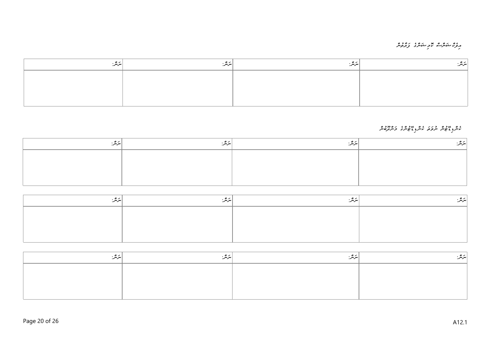## *w7qAn8m? sCw7mRo>u; wEw7mRw;sBo<*

| ' مرمر | 'يئرىثر: |
|--------|----------|
|        |          |
|        |          |
|        |          |

## *w7q9r@w7m> sCw7qHtFoFw7s; mAm=q7 w7qHtFoFw7s;*

| يە يە | $\frac{2}{n}$ | ىر تىر. | لتركثر |
|-------|---------------|---------|--------|
|       |               |         |        |
|       |               |         |        |
|       |               |         |        |

| $\frac{2}{n}$ | $^{\circ}$ | $\frac{2}{n}$ | $^{\circ}$<br>سرسر. |
|---------------|------------|---------------|---------------------|
|               |            |               |                     |
|               |            |               |                     |
|               |            |               |                     |

| ' ئىرتىر: | سر سر |  |
|-----------|-------|--|
|           |       |  |
|           |       |  |
|           |       |  |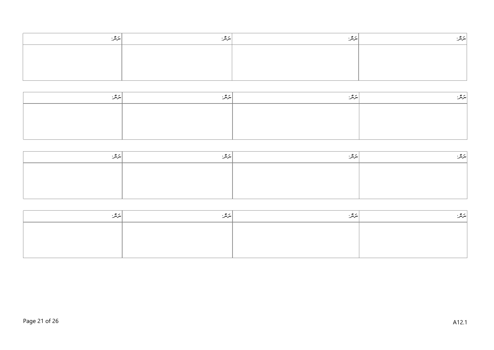| يزهر | $^{\circ}$ | ىئرىتر: |  |
|------|------------|---------|--|
|      |            |         |  |
|      |            |         |  |
|      |            |         |  |

| <sup>.</sup> سرسر. |  |
|--------------------|--|
|                    |  |
|                    |  |
|                    |  |

| ىئرىتر. | $\sim$ | ا بر هه. | لىرىش |
|---------|--------|----------|-------|
|         |        |          |       |
|         |        |          |       |
|         |        |          |       |

| 。<br>مرس. | $\overline{\phantom{a}}$<br>مر سر | ىرىر |
|-----------|-----------------------------------|------|
|           |                                   |      |
|           |                                   |      |
|           |                                   |      |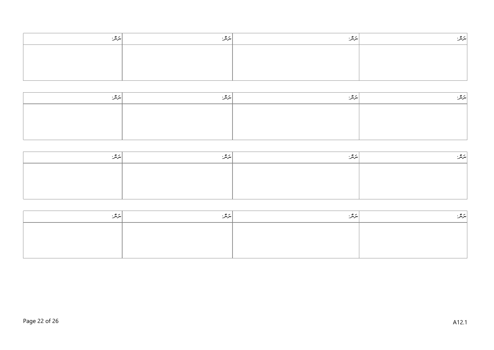| ير هو . | $\overline{\phantom{a}}$ | يرمر | اير هنه. |
|---------|--------------------------|------|----------|
|         |                          |      |          |
|         |                          |      |          |
|         |                          |      |          |

| ىر تىر: | $\circ$ $\sim$<br>" سرسر . | يترمير | o . |
|---------|----------------------------|--------|-----|
|         |                            |        |     |
|         |                            |        |     |
|         |                            |        |     |

| الترنثر: | ' مرتكز: | الترنثر: | .,<br>سرسر. |
|----------|----------|----------|-------------|
|          |          |          |             |
|          |          |          |             |
|          |          |          |             |

|  | . ه |
|--|-----|
|  |     |
|  |     |
|  |     |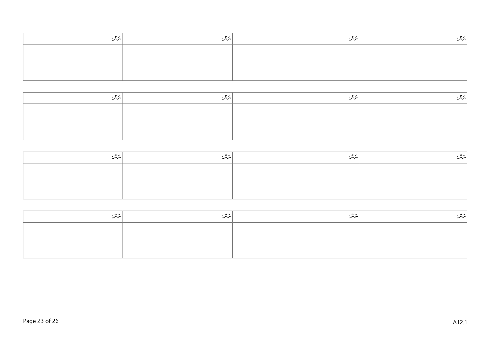| ير هو . | $\overline{\phantom{a}}$ | يرمر | اير هنه. |
|---------|--------------------------|------|----------|
|         |                          |      |          |
|         |                          |      |          |
|         |                          |      |          |

| ىر تىر: | $\circ$ $\sim$<br>" سرسر . | يترمير | o . |
|---------|----------------------------|--------|-----|
|         |                            |        |     |
|         |                            |        |     |
|         |                            |        |     |

| 'تترنثر: | 。<br>,,,, |  |
|----------|-----------|--|
|          |           |  |
|          |           |  |
|          |           |  |

|  | . ه |
|--|-----|
|  |     |
|  |     |
|  |     |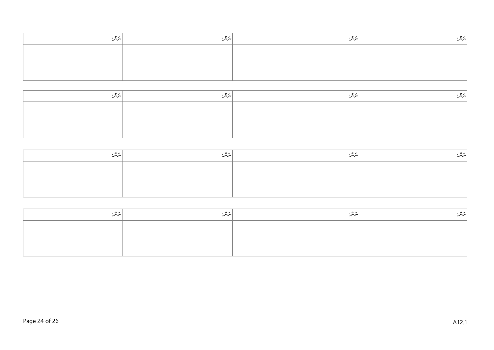| $\cdot$ | 。 | $\frac{\circ}{\cdot}$ | $\sim$<br>سرسر |
|---------|---|-----------------------|----------------|
|         |   |                       |                |
|         |   |                       |                |
|         |   |                       |                |

| ىر ھ | $^{\circ}$<br>" سرسر . | $\overset{\circ}{\cdot}$ |  |
|------|------------------------|--------------------------|--|
|      |                        |                          |  |
|      |                        |                          |  |
|      |                        |                          |  |

| بر ه | . ه | $\sim$<br>سرسر |  |
|------|-----|----------------|--|
|      |     |                |  |
|      |     |                |  |
|      |     |                |  |

| 。<br>. س | ىرىىر |  |
|----------|-------|--|
|          |       |  |
|          |       |  |
|          |       |  |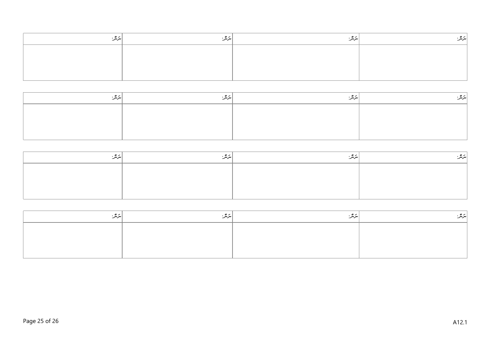| ير هو . | $\overline{\phantom{a}}$ | يرمر | اير هنه. |
|---------|--------------------------|------|----------|
|         |                          |      |          |
|         |                          |      |          |
|         |                          |      |          |

| ىر تىر: | $\circ$ $\sim$<br>" سرسر . | يترمير | o . |
|---------|----------------------------|--------|-----|
|         |                            |        |     |
|         |                            |        |     |
|         |                            |        |     |

| 'تترنثر: | 。<br>,,,, |  |
|----------|-----------|--|
|          |           |  |
|          |           |  |
|          |           |  |

|  | . ه |
|--|-----|
|  |     |
|  |     |
|  |     |